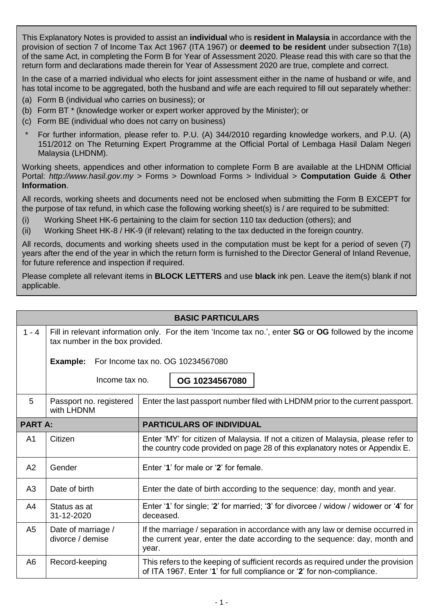This Explanatory Notes is provided to assist an **individual** who is **resident in Malaysia** in accordance with the provision of section 7 of Income Tax Act 1967 (ITA 1967) or **deemed to be resident** under subsection 7(1B) of the same Act, in completing the Form B for Year of Assessment 2020. Please read this with care so that the return form and declarations made therein for Year of Assessment 2020 are true, complete and correct.

In the case of a married individual who elects for joint assessment either in the name of husband or wife, and has total income to be aggregated, both the husband and wife are each required to fill out separately whether:

- (a) Form B (individual who carries on business); or
- (b) Form BT \* (knowledge worker or expert worker approved by the Minister); or
- (c) Form BE (individual who does not carry on business)
- For further information, please refer to, P.U. (A) 344/2010 regarding knowledge workers, and P.U. (A) 151/2012 on The Returning Expert Programme at the Official Portal of Lembaga Hasil Dalam Negeri Malaysia (LHDNM).

Working sheets, appendices and other information to complete Form B are available at the LHDNM Official Portal: *[http://www.hasil.gov.my](http://www.hasil.gov.my/)* > Forms > Download Forms > Individual > **Computation Guide** & **Other Information**.

All records, working sheets and documents need not be enclosed when submitting the Form B EXCEPT for the purpose of tax refund, in which case the following working sheet(s) is / are required to be submitted:

- (i) Working Sheet HK-6 pertaining to the claim for section 110 tax deduction (others); and
- (ii) Working Sheet HK-8 / HK-9 (if relevant) relating to the tax deducted in the foreign country.

All records, documents and working sheets used in the computation must be kept for a period of seven (7) years after the end of the year in which the return form is furnished to the Director General of Inland Revenue, for future reference and inspection if required.

Please complete all relevant items in **BLOCK LETTERS** and use **black** ink pen. Leave the item(s) blank if not applicable.

| <b>BASIC PARTICULARS</b> |                                                                                                                                            |                                                                                                                                                                      |  |
|--------------------------|--------------------------------------------------------------------------------------------------------------------------------------------|----------------------------------------------------------------------------------------------------------------------------------------------------------------------|--|
| $1 - 4$                  | Fill in relevant information only. For the item 'Income tax no.', enter SG or OG followed by the income<br>tax number in the box provided. |                                                                                                                                                                      |  |
|                          | Example:                                                                                                                                   | For Income tax no. OG 10234567080                                                                                                                                    |  |
|                          | Income tax no.                                                                                                                             | OG 10234567080                                                                                                                                                       |  |
| 5                        | Passport no. registered<br>with LHDNM                                                                                                      | Enter the last passport number filed with LHDNM prior to the current passport.                                                                                       |  |
| <b>PART A:</b>           |                                                                                                                                            | <b>PARTICULARS OF INDIVIDUAL</b>                                                                                                                                     |  |
| A <sub>1</sub>           | Citizen                                                                                                                                    | Enter 'MY' for citizen of Malaysia. If not a citizen of Malaysia, please refer to<br>the country code provided on page 28 of this explanatory notes or Appendix E.   |  |
| A2                       | Gender                                                                                                                                     | Enter '1' for male or '2' for female.                                                                                                                                |  |
| A3                       | Date of birth                                                                                                                              | Enter the date of birth according to the sequence: day, month and year.                                                                                              |  |
| A <sub>4</sub>           | Status as at<br>31-12-2020                                                                                                                 | Enter '1' for single; '2' for married; '3' for divorcee / widow / widower or '4' for<br>deceased.                                                                    |  |
| A <sub>5</sub>           | Date of marriage /<br>divorce / demise                                                                                                     | If the marriage / separation in accordance with any law or demise occurred in<br>the current year, enter the date according to the sequence: day, month and<br>year. |  |
| A <sub>6</sub>           | Record-keeping                                                                                                                             | This refers to the keeping of sufficient records as required under the provision<br>of ITA 1967. Enter '1' for full compliance or '2' for non-compliance.            |  |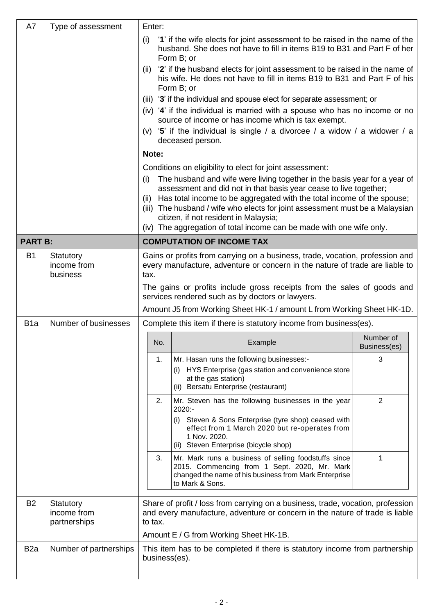| A7               | Type of assessment                       | Enter:                                                                                                                                                                       |                                                                                                                                                                                  |                           |  |  |  |
|------------------|------------------------------------------|------------------------------------------------------------------------------------------------------------------------------------------------------------------------------|----------------------------------------------------------------------------------------------------------------------------------------------------------------------------------|---------------------------|--|--|--|
|                  |                                          | '1' if the wife elects for joint assessment to be raised in the name of the<br>(i)<br>husband. She does not have to fill in items B19 to B31 and Part F of her<br>Form B; or |                                                                                                                                                                                  |                           |  |  |  |
|                  |                                          | (ii) '2' if the husband elects for joint assessment to be raised in the name of<br>his wife. He does not have to fill in items B19 to B31 and Part F of his<br>Form B; or    |                                                                                                                                                                                  |                           |  |  |  |
|                  |                                          |                                                                                                                                                                              | (iii) '3' if the individual and spouse elect for separate assessment; or                                                                                                         |                           |  |  |  |
|                  |                                          |                                                                                                                                                                              | (iv) '4' if the individual is married with a spouse who has no income or no                                                                                                      |                           |  |  |  |
|                  |                                          |                                                                                                                                                                              | source of income or has income which is tax exempt.<br>(v) '5' if the individual is single / a divorcee / a widow / a widower / a<br>deceased person.                            |                           |  |  |  |
|                  |                                          | Note:                                                                                                                                                                        |                                                                                                                                                                                  |                           |  |  |  |
|                  |                                          |                                                                                                                                                                              | Conditions on eligibility to elect for joint assessment:                                                                                                                         |                           |  |  |  |
|                  |                                          | (i)                                                                                                                                                                          | The husband and wife were living together in the basis year for a year of<br>assessment and did not in that basis year cease to live together;                                   |                           |  |  |  |
|                  |                                          |                                                                                                                                                                              | (ii) Has total income to be aggregated with the total income of the spouse;<br>(iii) The husband / wife who elects for joint assessment must be a Malaysian                      |                           |  |  |  |
|                  |                                          |                                                                                                                                                                              | citizen, if not resident in Malaysia;<br>(iv) The aggregation of total income can be made with one wife only.                                                                    |                           |  |  |  |
| <b>PART B:</b>   |                                          |                                                                                                                                                                              | <b>COMPUTATION OF INCOME TAX</b>                                                                                                                                                 |                           |  |  |  |
| <b>B1</b>        | Statutory<br>income from                 |                                                                                                                                                                              | Gains or profits from carrying on a business, trade, vocation, profession and<br>every manufacture, adventure or concern in the nature of trade are liable to                    |                           |  |  |  |
|                  | business                                 | tax.                                                                                                                                                                         |                                                                                                                                                                                  |                           |  |  |  |
|                  |                                          |                                                                                                                                                                              | The gains or profits include gross receipts from the sales of goods and<br>services rendered such as by doctors or lawyers.                                                      |                           |  |  |  |
|                  |                                          |                                                                                                                                                                              | Amount J5 from Working Sheet HK-1 / amount L from Working Sheet HK-1D.                                                                                                           |                           |  |  |  |
| B <sub>1</sub> a | Number of businesses                     |                                                                                                                                                                              | Complete this item if there is statutory income from business(es).                                                                                                               |                           |  |  |  |
|                  |                                          | No.                                                                                                                                                                          | Example                                                                                                                                                                          | Number of<br>Business(es) |  |  |  |
|                  |                                          | 1.                                                                                                                                                                           | Mr. Hasan runs the following businesses:-                                                                                                                                        | 3                         |  |  |  |
|                  |                                          |                                                                                                                                                                              | (i) HYS Enterprise (gas station and convenience store<br>at the gas station)<br>(ii) Bersatu Enterprise (restaurant)                                                             |                           |  |  |  |
|                  |                                          | 2.                                                                                                                                                                           | Mr. Steven has the following businesses in the year                                                                                                                              | 2                         |  |  |  |
|                  |                                          |                                                                                                                                                                              | 2020:-<br>(i) Steven & Sons Enterprise (tyre shop) ceased with<br>effect from 1 March 2020 but re-operates from<br>1 Nov. 2020.<br>Steven Enterprise (bicycle shop)<br>(ii)      |                           |  |  |  |
|                  |                                          | 3.                                                                                                                                                                           | Mr. Mark runs a business of selling foodstuffs since<br>2015. Commencing from 1 Sept. 2020, Mr. Mark<br>changed the name of his business from Mark Enterprise<br>to Mark & Sons. | 1                         |  |  |  |
| <b>B2</b>        | Statutory<br>income from<br>partnerships | Share of profit / loss from carrying on a business, trade, vocation, profession<br>and every manufacture, adventure or concern in the nature of trade is liable<br>to tax.   |                                                                                                                                                                                  |                           |  |  |  |
|                  |                                          |                                                                                                                                                                              | Amount E / G from Working Sheet HK-1B.                                                                                                                                           |                           |  |  |  |
| B <sub>2</sub> a | Number of partnerships                   | business(es).                                                                                                                                                                | This item has to be completed if there is statutory income from partnership                                                                                                      |                           |  |  |  |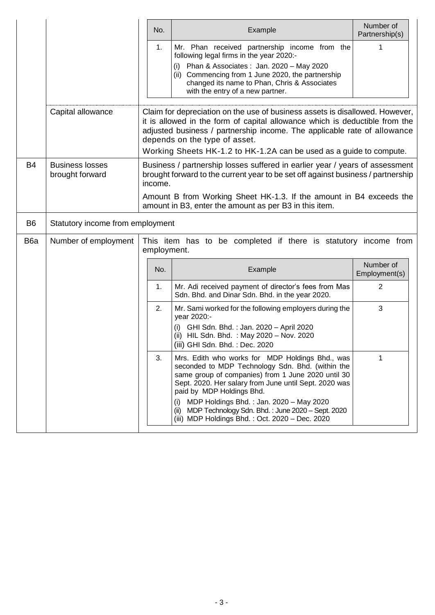|                                           | No.                                                                                                                                                                                                                                                                                                                                             | Example                                                                                                                                                                                                                                                                                                                                                       | Number of<br>Partnership(s)                                                                                                                                                                                                                                                                                                                                                                                                                                               |  |  |  |
|-------------------------------------------|-------------------------------------------------------------------------------------------------------------------------------------------------------------------------------------------------------------------------------------------------------------------------------------------------------------------------------------------------|---------------------------------------------------------------------------------------------------------------------------------------------------------------------------------------------------------------------------------------------------------------------------------------------------------------------------------------------------------------|---------------------------------------------------------------------------------------------------------------------------------------------------------------------------------------------------------------------------------------------------------------------------------------------------------------------------------------------------------------------------------------------------------------------------------------------------------------------------|--|--|--|
|                                           | 1.                                                                                                                                                                                                                                                                                                                                              | Mr. Phan received partnership income from the<br>following legal firms in the year 2020:-                                                                                                                                                                                                                                                                     | 1                                                                                                                                                                                                                                                                                                                                                                                                                                                                         |  |  |  |
|                                           |                                                                                                                                                                                                                                                                                                                                                 | Phan & Associates: Jan. 2020 - May 2020<br>(i)<br>Commencing from 1 June 2020, the partnership<br>(ii)<br>changed its name to Phan, Chris & Associates<br>with the entry of a new partner.                                                                                                                                                                    |                                                                                                                                                                                                                                                                                                                                                                                                                                                                           |  |  |  |
| Capital allowance                         | Claim for depreciation on the use of business assets is disallowed. However,<br>it is allowed in the form of capital allowance which is deductible from the<br>adjusted business / partnership income. The applicable rate of allowance<br>depends on the type of asset.<br>Working Sheets HK-1.2 to HK-1.2A can be used as a guide to compute. |                                                                                                                                                                                                                                                                                                                                                               |                                                                                                                                                                                                                                                                                                                                                                                                                                                                           |  |  |  |
| <b>Business losses</b><br>brought forward | income.                                                                                                                                                                                                                                                                                                                                         |                                                                                                                                                                                                                                                                                                                                                               |                                                                                                                                                                                                                                                                                                                                                                                                                                                                           |  |  |  |
|                                           |                                                                                                                                                                                                                                                                                                                                                 |                                                                                                                                                                                                                                                                                                                                                               |                                                                                                                                                                                                                                                                                                                                                                                                                                                                           |  |  |  |
|                                           |                                                                                                                                                                                                                                                                                                                                                 |                                                                                                                                                                                                                                                                                                                                                               |                                                                                                                                                                                                                                                                                                                                                                                                                                                                           |  |  |  |
| Number of employment                      |                                                                                                                                                                                                                                                                                                                                                 |                                                                                                                                                                                                                                                                                                                                                               |                                                                                                                                                                                                                                                                                                                                                                                                                                                                           |  |  |  |
|                                           | No.                                                                                                                                                                                                                                                                                                                                             | Example                                                                                                                                                                                                                                                                                                                                                       | Number of<br>Employment(s)                                                                                                                                                                                                                                                                                                                                                                                                                                                |  |  |  |
|                                           | 1.                                                                                                                                                                                                                                                                                                                                              | Mr. Adi received payment of director's fees from Mas<br>Sdn. Bhd. and Dinar Sdn. Bhd. in the year 2020.                                                                                                                                                                                                                                                       | 2                                                                                                                                                                                                                                                                                                                                                                                                                                                                         |  |  |  |
|                                           | 2.                                                                                                                                                                                                                                                                                                                                              | Mr. Sami worked for the following employers during the<br>year 2020:-                                                                                                                                                                                                                                                                                         | 3                                                                                                                                                                                                                                                                                                                                                                                                                                                                         |  |  |  |
|                                           |                                                                                                                                                                                                                                                                                                                                                 | GHI Sdn. Bhd.: Jan. 2020 - April 2020<br>(i)<br>(ii) HIL Sdn. Bhd. : May 2020 - Nov. 2020<br>(iii) GHI Sdn. Bhd.: Dec. 2020                                                                                                                                                                                                                                   |                                                                                                                                                                                                                                                                                                                                                                                                                                                                           |  |  |  |
|                                           | 3.                                                                                                                                                                                                                                                                                                                                              | Mrs. Edith who works for MDP Holdings Bhd., was<br>seconded to MDP Technology Sdn. Bhd. (within the<br>same group of companies) from 1 June 2020 until 30<br>Sept. 2020. Her salary from June until Sept. 2020 was<br>paid by MDP Holdings Bhd.<br>MDP Holdings Bhd.: Jan. 2020 - May 2020<br>(i)<br>MDP Technology Sdn. Bhd.: June 2020 - Sept. 2020<br>(ii) | 1                                                                                                                                                                                                                                                                                                                                                                                                                                                                         |  |  |  |
|                                           |                                                                                                                                                                                                                                                                                                                                                 |                                                                                                                                                                                                                                                                                                                                                               | Business / partnership losses suffered in earlier year / years of assessment<br>brought forward to the current year to be set off against business / partnership<br>Amount B from Working Sheet HK-1.3. If the amount in B4 exceeds the<br>amount in B3, enter the amount as per B3 in this item.<br>Statutory income from employment<br>This item has to be completed if there is statutory income from<br>employment.<br>(iii) MDP Holdings Bhd.: Oct. 2020 - Dec. 2020 |  |  |  |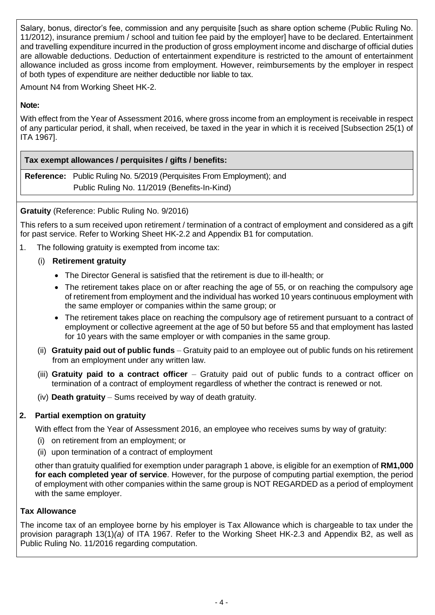Salary, bonus, director's fee, commission and any perquisite [such as share option scheme (Public Ruling No. 11/2012), insurance premium / school and tuition fee paid by the employer] have to be declared. Entertainment and travelling expenditure incurred in the production of gross employment income and discharge of official duties are allowable deductions. Deduction of entertainment expenditure is restricted to the amount of entertainment allowance included as gross income from employment. However, reimbursements by the employer in respect of both types of expenditure are neither deductible nor liable to tax.

Amount N4 from Working Sheet HK-2.

# **Note:**

With effect from the Year of Assessment 2016, where gross income from an employment is receivable in respect of any particular period, it shall, when received, be taxed in the year in which it is received [Subsection 25(1) of ITA 1967].

**Tax exempt allowances / perquisites / gifts / benefits:**

**Reference:** Public Ruling No. 5/2019 (Perquisites From Employment); and Public Ruling No. 11/2019 (Benefits-In-Kind)

# **Gratuity** (Reference: Public Ruling No. 9/2016)

This refers to a sum received upon retirement / termination of a contract of employment and considered as a gift for past service. Refer to Working Sheet HK-2.2 and Appendix B1 for computation.

1. The following gratuity is exempted from income tax:

# (i) **Retirement gratuity**

- The Director General is satisfied that the retirement is due to ill-health; or
- The retirement takes place on or after reaching the age of 55, or on reaching the compulsory age of retirement from employment and the individual has worked 10 years continuous employment with the same employer or companies within the same group; or
- The retirement takes place on reaching the compulsory age of retirement pursuant to a contract of employment or collective agreement at the age of 50 but before 55 and that employment has lasted for 10 years with the same employer or with companies in the same group.
- (ii) **Gratuity paid out of public funds** Gratuity paid to an employee out of public funds on his retirement from an employment under any written law.
- (iii) **Gratuity paid to a contract officer** Gratuity paid out of public funds to a contract officer on termination of a contract of employment regardless of whether the contract is renewed or not.
- (iv) **Death gratuity** Sums received by way of death gratuity.

# **2. Partial exemption on gratuity**

With effect from the Year of Assessment 2016, an employee who receives sums by way of gratuity:

- (i) on retirement from an employment; or
- (ii) upon termination of a contract of employment

other than gratuity qualified for exemption under paragraph 1 above, is eligible for an exemption of **RM1,000 for each completed year of service**. However, for the purpose of computing partial exemption, the period of employment with other companies within the same group is NOT REGARDED as a period of employment with the same employer.

# **Tax Allowance**

The income tax of an employee borne by his employer is Tax Allowance which is chargeable to tax under the provision paragraph 13(1)*(a)* of ITA 1967. Refer to the Working Sheet HK-2.3 and Appendix B2, as well as Public Ruling No. 11/2016 regarding computation.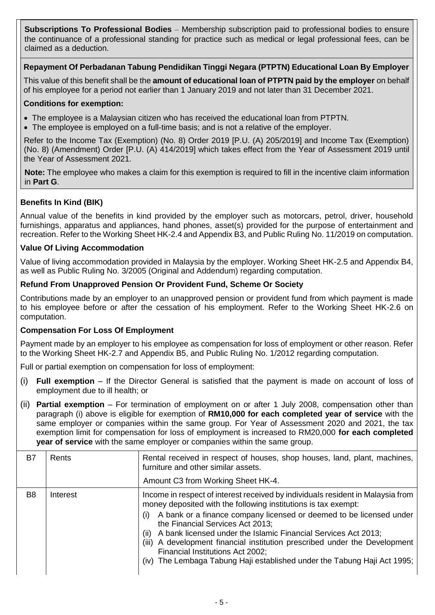**Subscriptions To Professional Bodies** – Membership subscription paid to professional bodies to ensure the continuance of a professional standing for practice such as medical or legal professional fees, can be claimed as a deduction.

# **Repayment Of Perbadanan Tabung Pendidikan Tinggi Negara (PTPTN) Educational Loan By Employer**

This value of this benefit shall be the **amount of educational loan of PTPTN paid by the employer** on behalf of his employee for a period not earlier than 1 January 2019 and not later than 31 December 2021.

### **Conditions for exemption:**

- The employee is a Malaysian citizen who has received the educational loan from PTPTN.
- The employee is employed on a full-time basis; and is not a relative of the employer.

Refer to the Income Tax (Exemption) (No. 8) Order 2019 [P.U. (A) 205/2019] and Income Tax (Exemption) (No. 8) (Amendment) Order [P.U. (A) 414/2019] which takes effect from the Year of Assessment 2019 until the Year of Assessment 2021.

**Note:** The employee who makes a claim for this exemption is required to fill in the incentive claim information in **Part G**.

# **Benefits In Kind (BIK)**

Annual value of the benefits in kind provided by the employer such as motorcars, petrol, driver, household furnishings, apparatus and appliances, hand phones, asset(s) provided for the purpose of entertainment and recreation. Refer to the Working Sheet HK-2.4 and Appendix B3, and Public Ruling No. 11/2019 on computation.

#### **Value Of Living Accommodation**

Value of living accommodation provided in Malaysia by the employer. Working Sheet HK-2.5 and Appendix B4, as well as Public Ruling No. 3/2005 (Original and Addendum) regarding computation.

# **Refund From Unapproved Pension Or Provident Fund, Scheme Or Society**

Contributions made by an employer to an unapproved pension or provident fund from which payment is made to his employee before or after the cessation of his employment. Refer to the Working Sheet HK-2.6 on computation.

# **Compensation For Loss Of Employment**

Payment made by an employer to his employee as compensation for loss of employment or other reason. Refer to the Working Sheet HK-2.7 and Appendix B5, and Public Ruling No. 1/2012 regarding computation.

Full or partial exemption on compensation for loss of employment:

- (i) **Full exemption** If the Director General is satisfied that the payment is made on account of loss of employment due to ill health; or
- (ii) **Partial exemption** For termination of employment on or after 1 July 2008, compensation other than paragraph (i) above is eligible for exemption of **RM10,000 for each completed year of service** with the same employer or companies within the same group. For Year of Assessment 2020 and 2021, the tax exemption limit for compensation for loss of employment is increased to RM20,000 **for each completed year of service** with the same employer or companies within the same group.

| B7             | Rents    | Rental received in respect of houses, shop houses, land, plant, machines,<br>furniture and other similar assets.<br>Amount C3 from Working Sheet HK-4.                                                                                                                                                                                                                                                                                                                                                                                         |
|----------------|----------|------------------------------------------------------------------------------------------------------------------------------------------------------------------------------------------------------------------------------------------------------------------------------------------------------------------------------------------------------------------------------------------------------------------------------------------------------------------------------------------------------------------------------------------------|
| B <sub>8</sub> | Interest | Income in respect of interest received by individuals resident in Malaysia from<br>money deposited with the following institutions is tax exempt:<br>A bank or a finance company licensed or deemed to be licensed under<br>(i)<br>the Financial Services Act 2013;<br>A bank licensed under the Islamic Financial Services Act 2013;<br>(ii)<br>A development financial institution prescribed under the Development<br>(iii)<br>Financial Institutions Act 2002;<br>(iv) The Lembaga Tabung Haji established under the Tabung Haji Act 1995; |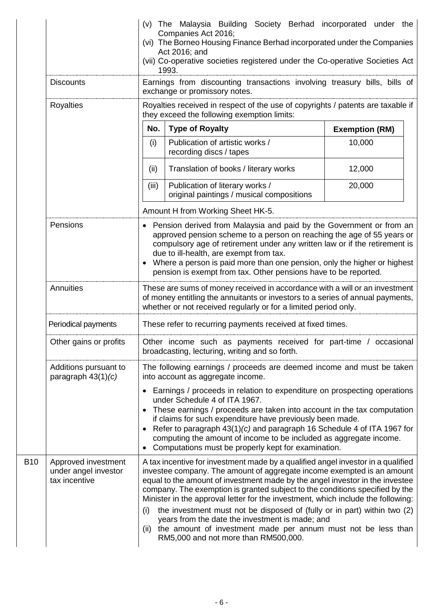|                                                                                                                                |                                                              |                                                                                                                                                                                                                                                                                                                                                                                                                         | (v) The Malaysia Building Society Berhad incorporated under the<br>Companies Act 2016;<br>(vi) The Borneo Housing Finance Berhad incorporated under the Companies<br>Act 2016; and<br>(vii) Co-operative societies registered under the Co-operative Societies Act<br>1993.                                                                                                                                                                                                                                                                                                                                                                                 |        |  |  |
|--------------------------------------------------------------------------------------------------------------------------------|--------------------------------------------------------------|-------------------------------------------------------------------------------------------------------------------------------------------------------------------------------------------------------------------------------------------------------------------------------------------------------------------------------------------------------------------------------------------------------------------------|-------------------------------------------------------------------------------------------------------------------------------------------------------------------------------------------------------------------------------------------------------------------------------------------------------------------------------------------------------------------------------------------------------------------------------------------------------------------------------------------------------------------------------------------------------------------------------------------------------------------------------------------------------------|--------|--|--|
| Earnings from discounting transactions involving treasury bills, bills of<br><b>Discounts</b><br>exchange or promissory notes. |                                                              |                                                                                                                                                                                                                                                                                                                                                                                                                         |                                                                                                                                                                                                                                                                                                                                                                                                                                                                                                                                                                                                                                                             |        |  |  |
|                                                                                                                                | Royalties                                                    |                                                                                                                                                                                                                                                                                                                                                                                                                         | Royalties received in respect of the use of copyrights / patents are taxable if<br>they exceed the following exemption limits:                                                                                                                                                                                                                                                                                                                                                                                                                                                                                                                              |        |  |  |
|                                                                                                                                |                                                              | No.                                                                                                                                                                                                                                                                                                                                                                                                                     | <b>Type of Royalty</b><br><b>Exemption (RM)</b>                                                                                                                                                                                                                                                                                                                                                                                                                                                                                                                                                                                                             |        |  |  |
|                                                                                                                                |                                                              | (i)                                                                                                                                                                                                                                                                                                                                                                                                                     | Publication of artistic works /<br>recording discs / tapes                                                                                                                                                                                                                                                                                                                                                                                                                                                                                                                                                                                                  | 10,000 |  |  |
|                                                                                                                                |                                                              | (ii)                                                                                                                                                                                                                                                                                                                                                                                                                    | Translation of books / literary works                                                                                                                                                                                                                                                                                                                                                                                                                                                                                                                                                                                                                       | 12,000 |  |  |
|                                                                                                                                |                                                              | (iii)                                                                                                                                                                                                                                                                                                                                                                                                                   | Publication of literary works /<br>original paintings / musical compositions                                                                                                                                                                                                                                                                                                                                                                                                                                                                                                                                                                                | 20,000 |  |  |
|                                                                                                                                |                                                              |                                                                                                                                                                                                                                                                                                                                                                                                                         | Amount H from Working Sheet HK-5.                                                                                                                                                                                                                                                                                                                                                                                                                                                                                                                                                                                                                           |        |  |  |
|                                                                                                                                | Pensions                                                     | • Pension derived from Malaysia and paid by the Government or from an<br>approved pension scheme to a person on reaching the age of 55 years or<br>compulsory age of retirement under any written law or if the retirement is<br>due to ill-health, are exempt from tax.<br>Where a person is paid more than one pension, only the higher or highest<br>pension is exempt from tax. Other pensions have to be reported. |                                                                                                                                                                                                                                                                                                                                                                                                                                                                                                                                                                                                                                                             |        |  |  |
|                                                                                                                                | Annuities                                                    | These are sums of money received in accordance with a will or an investment<br>of money entitling the annuitants or investors to a series of annual payments,<br>whether or not received regularly or for a limited period only.                                                                                                                                                                                        |                                                                                                                                                                                                                                                                                                                                                                                                                                                                                                                                                                                                                                                             |        |  |  |
|                                                                                                                                | Periodical payments                                          |                                                                                                                                                                                                                                                                                                                                                                                                                         | These refer to recurring payments received at fixed times.                                                                                                                                                                                                                                                                                                                                                                                                                                                                                                                                                                                                  |        |  |  |
|                                                                                                                                | Other gains or profits                                       | Other income such as payments received for part-time / occasional<br>broadcasting, lecturing, writing and so forth.                                                                                                                                                                                                                                                                                                     |                                                                                                                                                                                                                                                                                                                                                                                                                                                                                                                                                                                                                                                             |        |  |  |
|                                                                                                                                | Additions pursuant to<br>paragraph $43(1)(c)$                | The following earnings / proceeds are deemed income and must be taken<br>into account as aggregate income.                                                                                                                                                                                                                                                                                                              |                                                                                                                                                                                                                                                                                                                                                                                                                                                                                                                                                                                                                                                             |        |  |  |
|                                                                                                                                |                                                              |                                                                                                                                                                                                                                                                                                                                                                                                                         | • Earnings / proceeds in relation to expenditure on prospecting operations<br>under Schedule 4 of ITA 1967.<br>These earnings / proceeds are taken into account in the tax computation<br>if claims for such expenditure have previously been made.<br>Refer to paragraph 43(1)(c) and paragraph 16 Schedule 4 of ITA 1967 for<br>computing the amount of income to be included as aggregate income.<br>Computations must be properly kept for examination.                                                                                                                                                                                                 |        |  |  |
| <b>B10</b>                                                                                                                     | Approved investment<br>under angel investor<br>tax incentive | (i)                                                                                                                                                                                                                                                                                                                                                                                                                     | A tax incentive for investment made by a qualified angel investor in a qualified<br>investee company. The amount of aggregate income exempted is an amount<br>equal to the amount of investment made by the angel investor in the investee<br>company. The exemption is granted subject to the conditions specified by the<br>Minister in the approval letter for the investment, which include the following:<br>the investment must not be disposed of (fully or in part) within two (2)<br>years from the date the investment is made; and<br>(ii) the amount of investment made per annum must not be less than<br>RM5,000 and not more than RM500,000. |        |  |  |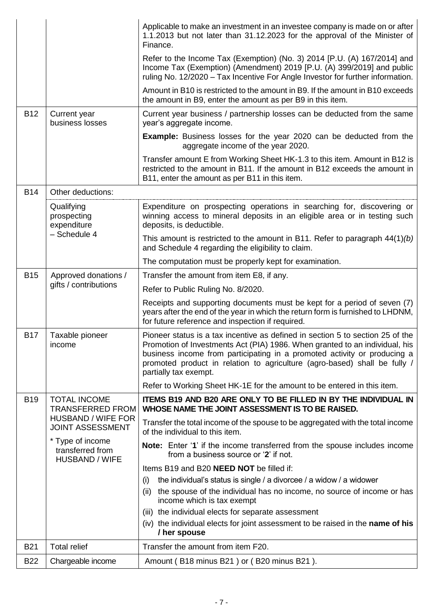|            |                                                               | Applicable to make an investment in an investee company is made on or after<br>1.1.2013 but not later than 31.12.2023 for the approval of the Minister of<br>Finance.                                                                                                                                                                           |
|------------|---------------------------------------------------------------|-------------------------------------------------------------------------------------------------------------------------------------------------------------------------------------------------------------------------------------------------------------------------------------------------------------------------------------------------|
|            |                                                               | Refer to the Income Tax (Exemption) (No. 3) 2014 [P.U. (A) 167/2014] and<br>Income Tax (Exemption) (Amendment) 2019 [P.U. (A) 399/2019] and public<br>ruling No. 12/2020 - Tax Incentive For Angle Investor for further information.                                                                                                            |
|            |                                                               | Amount in B10 is restricted to the amount in B9. If the amount in B10 exceeds<br>the amount in B9, enter the amount as per B9 in this item.                                                                                                                                                                                                     |
| <b>B12</b> | Current year<br>business losses                               | Current year business / partnership losses can be deducted from the same<br>year's aggregate income.                                                                                                                                                                                                                                            |
|            |                                                               | <b>Example:</b> Business losses for the year 2020 can be deducted from the<br>aggregate income of the year 2020.                                                                                                                                                                                                                                |
|            |                                                               | Transfer amount E from Working Sheet HK-1.3 to this item. Amount in B12 is<br>restricted to the amount in B11. If the amount in B12 exceeds the amount in<br>B11, enter the amount as per B11 in this item.                                                                                                                                     |
| <b>B14</b> | Other deductions:                                             |                                                                                                                                                                                                                                                                                                                                                 |
|            | Qualifying<br>prospecting<br>expenditure                      | Expenditure on prospecting operations in searching for, discovering or<br>winning access to mineral deposits in an eligible area or in testing such<br>deposits, is deductible.                                                                                                                                                                 |
|            | - Schedule 4                                                  | This amount is restricted to the amount in B11. Refer to paragraph $44(1)(b)$<br>and Schedule 4 regarding the eligibility to claim.                                                                                                                                                                                                             |
|            |                                                               | The computation must be properly kept for examination.                                                                                                                                                                                                                                                                                          |
| <b>B15</b> | Approved donations /                                          | Transfer the amount from item E8, if any.                                                                                                                                                                                                                                                                                                       |
|            | gifts / contributions                                         | Refer to Public Ruling No. 8/2020.                                                                                                                                                                                                                                                                                                              |
|            |                                                               | Receipts and supporting documents must be kept for a period of seven (7)<br>years after the end of the year in which the return form is furnished to LHDNM,<br>for future reference and inspection if required.                                                                                                                                 |
| <b>B17</b> | Taxable pioneer<br>income                                     | Pioneer status is a tax incentive as defined in section 5 to section 25 of the<br>Promotion of Investments Act (PIA) 1986. When granted to an individual, his<br>business income from participating in a promoted activity or producing a<br>promoted product in relation to agriculture (agro-based) shall be fully /<br>partially tax exempt. |
|            |                                                               | Refer to Working Sheet HK-1E for the amount to be entered in this item.                                                                                                                                                                                                                                                                         |
| <b>B19</b> | <b>TOTAL INCOME</b><br><b>TRANSFERRED FROM</b>                | ITEMS B19 AND B20 ARE ONLY TO BE FILLED IN BY THE INDIVIDUAL IN<br>WHOSE NAME THE JOINT ASSESSMENT IS TO BE RAISED.                                                                                                                                                                                                                             |
|            | <b>HUSBAND / WIFE FOR</b><br><b>JOINT ASSESSMENT</b>          | Transfer the total income of the spouse to be aggregated with the total income<br>of the individual to this item.                                                                                                                                                                                                                               |
|            | * Type of income<br>transferred from<br><b>HUSBAND / WIFE</b> | <b>Note:</b> Enter '1' if the income transferred from the spouse includes income<br>from a business source or '2' if not.                                                                                                                                                                                                                       |
|            |                                                               | Items B19 and B20 NEED NOT be filled if:                                                                                                                                                                                                                                                                                                        |
|            |                                                               | the individual's status is single / a divorcee / a widow / a widower<br>(i)                                                                                                                                                                                                                                                                     |
|            |                                                               | the spouse of the individual has no income, no source of income or has<br>(ii)<br>income which is tax exempt                                                                                                                                                                                                                                    |
|            |                                                               | (iii) the individual elects for separate assessment                                                                                                                                                                                                                                                                                             |
|            |                                                               | (iv) the individual elects for joint assessment to be raised in the name of his<br>/ her spouse                                                                                                                                                                                                                                                 |
| <b>B21</b> | <b>Total relief</b>                                           | Transfer the amount from item F20.                                                                                                                                                                                                                                                                                                              |
| <b>B22</b> | Chargeable income                                             | Amount (B18 minus B21) or (B20 minus B21).                                                                                                                                                                                                                                                                                                      |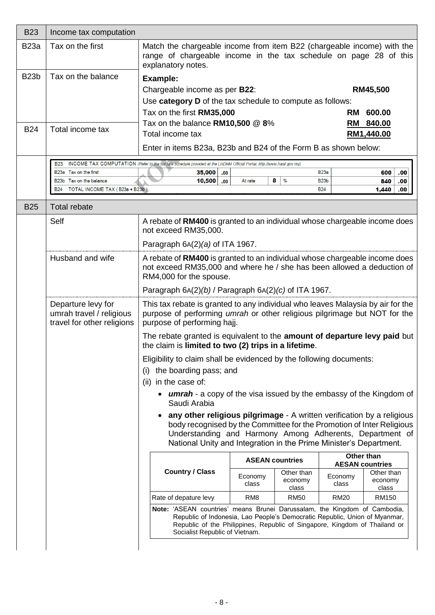| <b>B23a</b><br>Tax on the first<br>explanatory notes.<br><b>B23b</b><br>Tax on the balance<br><b>Example:</b><br>Chargeable income as per B22:<br>Use category D of the tax schedule to compute as follows:<br>Tax on the first RM35,000<br><b>RM</b><br>Tax on the balance $RM10,500 \ @ 8\%$<br>RM<br><b>B24</b><br>Total income tax<br>Total income tax<br>RM1,440.00<br>Enter in items B23a, B23b and B24 of the Form B as shown below:<br>INCOME TAX COMPUTATION (Refer to the tax rate schedule provided at the LHDNM Official Portal, http://www.hasil.gov.my)<br><b>B23</b><br>B23a Tax on the first<br>35,000<br><b>B23a</b><br>.00.<br>8<br>$\frac{0}{0}$<br>B23b Tax on the balance<br>10,500<br>B <sub>23</sub> b<br>.00<br>At rate<br>TOTAL INCOME TAX (B23a + B23b)<br><b>B24</b><br>B24<br><b>Total rebate</b><br><b>B25</b><br>Self<br>A rebate of RM400 is granted to an individual whose chargeable income does<br>not exceed RM35,000.<br>Paragraph $6A(2)(a)$ of ITA 1967.<br>Husband and wife<br>RM4,000 for the spouse.<br>Paragraph $6A(2)(b)$ / Paragraph $6A(2)(c)$ of ITA 1967.<br>Departure levy for<br>umrah travel / religious<br>travel for other religions<br>purpose of performing hajj.<br>The rebate granted is equivalent to the amount of departure levy paid but<br>the claim is limited to two (2) trips in a lifetime.<br>Eligibility to claim shall be evidenced by the following documents:<br>the boarding pass; and<br>(i)<br>in the case of:<br>(ii)<br>Saudi Arabia<br><b>ASEAN countries</b><br><b>AESAN countries</b><br><b>Country / Class</b><br>Other than<br>Economy<br>Economy<br>economy<br>class<br>class<br>class | <b>B23</b> | Income tax computation |                                                                                                                                                                                                                                                                                   |                          |  |  |                       |  |  |
|--------------------------------------------------------------------------------------------------------------------------------------------------------------------------------------------------------------------------------------------------------------------------------------------------------------------------------------------------------------------------------------------------------------------------------------------------------------------------------------------------------------------------------------------------------------------------------------------------------------------------------------------------------------------------------------------------------------------------------------------------------------------------------------------------------------------------------------------------------------------------------------------------------------------------------------------------------------------------------------------------------------------------------------------------------------------------------------------------------------------------------------------------------------------------------------------------------------------------------------------------------------------------------------------------------------------------------------------------------------------------------------------------------------------------------------------------------------------------------------------------------------------------------------------------------------------------------------------------------------------------------------------------------------------------|------------|------------------------|-----------------------------------------------------------------------------------------------------------------------------------------------------------------------------------------------------------------------------------------------------------------------------------|--------------------------|--|--|-----------------------|--|--|
|                                                                                                                                                                                                                                                                                                                                                                                                                                                                                                                                                                                                                                                                                                                                                                                                                                                                                                                                                                                                                                                                                                                                                                                                                                                                                                                                                                                                                                                                                                                                                                                                                                                                          |            |                        | Match the chargeable income from item B22 (chargeable income) with the<br>range of chargeable income in the tax schedule on page 28 of this                                                                                                                                       |                          |  |  |                       |  |  |
|                                                                                                                                                                                                                                                                                                                                                                                                                                                                                                                                                                                                                                                                                                                                                                                                                                                                                                                                                                                                                                                                                                                                                                                                                                                                                                                                                                                                                                                                                                                                                                                                                                                                          |            |                        |                                                                                                                                                                                                                                                                                   |                          |  |  |                       |  |  |
|                                                                                                                                                                                                                                                                                                                                                                                                                                                                                                                                                                                                                                                                                                                                                                                                                                                                                                                                                                                                                                                                                                                                                                                                                                                                                                                                                                                                                                                                                                                                                                                                                                                                          |            |                        |                                                                                                                                                                                                                                                                                   | RM45,500                 |  |  |                       |  |  |
|                                                                                                                                                                                                                                                                                                                                                                                                                                                                                                                                                                                                                                                                                                                                                                                                                                                                                                                                                                                                                                                                                                                                                                                                                                                                                                                                                                                                                                                                                                                                                                                                                                                                          |            |                        |                                                                                                                                                                                                                                                                                   |                          |  |  |                       |  |  |
|                                                                                                                                                                                                                                                                                                                                                                                                                                                                                                                                                                                                                                                                                                                                                                                                                                                                                                                                                                                                                                                                                                                                                                                                                                                                                                                                                                                                                                                                                                                                                                                                                                                                          |            |                        |                                                                                                                                                                                                                                                                                   |                          |  |  | 600.00                |  |  |
|                                                                                                                                                                                                                                                                                                                                                                                                                                                                                                                                                                                                                                                                                                                                                                                                                                                                                                                                                                                                                                                                                                                                                                                                                                                                                                                                                                                                                                                                                                                                                                                                                                                                          |            |                        |                                                                                                                                                                                                                                                                                   |                          |  |  | 840.00                |  |  |
|                                                                                                                                                                                                                                                                                                                                                                                                                                                                                                                                                                                                                                                                                                                                                                                                                                                                                                                                                                                                                                                                                                                                                                                                                                                                                                                                                                                                                                                                                                                                                                                                                                                                          |            |                        |                                                                                                                                                                                                                                                                                   |                          |  |  |                       |  |  |
|                                                                                                                                                                                                                                                                                                                                                                                                                                                                                                                                                                                                                                                                                                                                                                                                                                                                                                                                                                                                                                                                                                                                                                                                                                                                                                                                                                                                                                                                                                                                                                                                                                                                          |            |                        |                                                                                                                                                                                                                                                                                   |                          |  |  |                       |  |  |
|                                                                                                                                                                                                                                                                                                                                                                                                                                                                                                                                                                                                                                                                                                                                                                                                                                                                                                                                                                                                                                                                                                                                                                                                                                                                                                                                                                                                                                                                                                                                                                                                                                                                          |            |                        |                                                                                                                                                                                                                                                                                   | 600<br>.00<br>840<br>.00 |  |  |                       |  |  |
|                                                                                                                                                                                                                                                                                                                                                                                                                                                                                                                                                                                                                                                                                                                                                                                                                                                                                                                                                                                                                                                                                                                                                                                                                                                                                                                                                                                                                                                                                                                                                                                                                                                                          |            |                        |                                                                                                                                                                                                                                                                                   |                          |  |  | .00.<br>1,440         |  |  |
|                                                                                                                                                                                                                                                                                                                                                                                                                                                                                                                                                                                                                                                                                                                                                                                                                                                                                                                                                                                                                                                                                                                                                                                                                                                                                                                                                                                                                                                                                                                                                                                                                                                                          |            |                        |                                                                                                                                                                                                                                                                                   |                          |  |  |                       |  |  |
|                                                                                                                                                                                                                                                                                                                                                                                                                                                                                                                                                                                                                                                                                                                                                                                                                                                                                                                                                                                                                                                                                                                                                                                                                                                                                                                                                                                                                                                                                                                                                                                                                                                                          |            |                        |                                                                                                                                                                                                                                                                                   |                          |  |  |                       |  |  |
|                                                                                                                                                                                                                                                                                                                                                                                                                                                                                                                                                                                                                                                                                                                                                                                                                                                                                                                                                                                                                                                                                                                                                                                                                                                                                                                                                                                                                                                                                                                                                                                                                                                                          |            |                        |                                                                                                                                                                                                                                                                                   |                          |  |  |                       |  |  |
|                                                                                                                                                                                                                                                                                                                                                                                                                                                                                                                                                                                                                                                                                                                                                                                                                                                                                                                                                                                                                                                                                                                                                                                                                                                                                                                                                                                                                                                                                                                                                                                                                                                                          |            |                        | A rebate of RM400 is granted to an individual whose chargeable income does<br>not exceed RM35,000 and where he / she has been allowed a deduction of                                                                                                                              |                          |  |  |                       |  |  |
|                                                                                                                                                                                                                                                                                                                                                                                                                                                                                                                                                                                                                                                                                                                                                                                                                                                                                                                                                                                                                                                                                                                                                                                                                                                                                                                                                                                                                                                                                                                                                                                                                                                                          |            |                        |                                                                                                                                                                                                                                                                                   |                          |  |  |                       |  |  |
|                                                                                                                                                                                                                                                                                                                                                                                                                                                                                                                                                                                                                                                                                                                                                                                                                                                                                                                                                                                                                                                                                                                                                                                                                                                                                                                                                                                                                                                                                                                                                                                                                                                                          |            |                        | This tax rebate is granted to any individual who leaves Malaysia by air for the<br>purpose of performing <i>umrah</i> or other religious pilgrimage but NOT for the                                                                                                               |                          |  |  |                       |  |  |
|                                                                                                                                                                                                                                                                                                                                                                                                                                                                                                                                                                                                                                                                                                                                                                                                                                                                                                                                                                                                                                                                                                                                                                                                                                                                                                                                                                                                                                                                                                                                                                                                                                                                          |            |                        |                                                                                                                                                                                                                                                                                   |                          |  |  |                       |  |  |
|                                                                                                                                                                                                                                                                                                                                                                                                                                                                                                                                                                                                                                                                                                                                                                                                                                                                                                                                                                                                                                                                                                                                                                                                                                                                                                                                                                                                                                                                                                                                                                                                                                                                          |            |                        |                                                                                                                                                                                                                                                                                   |                          |  |  |                       |  |  |
|                                                                                                                                                                                                                                                                                                                                                                                                                                                                                                                                                                                                                                                                                                                                                                                                                                                                                                                                                                                                                                                                                                                                                                                                                                                                                                                                                                                                                                                                                                                                                                                                                                                                          |            |                        |                                                                                                                                                                                                                                                                                   |                          |  |  |                       |  |  |
|                                                                                                                                                                                                                                                                                                                                                                                                                                                                                                                                                                                                                                                                                                                                                                                                                                                                                                                                                                                                                                                                                                                                                                                                                                                                                                                                                                                                                                                                                                                                                                                                                                                                          |            |                        |                                                                                                                                                                                                                                                                                   |                          |  |  |                       |  |  |
|                                                                                                                                                                                                                                                                                                                                                                                                                                                                                                                                                                                                                                                                                                                                                                                                                                                                                                                                                                                                                                                                                                                                                                                                                                                                                                                                                                                                                                                                                                                                                                                                                                                                          |            |                        | <b>umrah</b> - a copy of the visa issued by the embassy of the Kingdom of                                                                                                                                                                                                         |                          |  |  |                       |  |  |
|                                                                                                                                                                                                                                                                                                                                                                                                                                                                                                                                                                                                                                                                                                                                                                                                                                                                                                                                                                                                                                                                                                                                                                                                                                                                                                                                                                                                                                                                                                                                                                                                                                                                          |            |                        | any other religious pilgrimage - A written verification by a religious<br>body recognised by the Committee for the Promotion of Inter Religious<br>Understanding and Harmony Among Adherents, Department of<br>National Unity and Integration in the Prime Minister's Department. |                          |  |  |                       |  |  |
|                                                                                                                                                                                                                                                                                                                                                                                                                                                                                                                                                                                                                                                                                                                                                                                                                                                                                                                                                                                                                                                                                                                                                                                                                                                                                                                                                                                                                                                                                                                                                                                                                                                                          |            |                        | Other than                                                                                                                                                                                                                                                                        |                          |  |  |                       |  |  |
|                                                                                                                                                                                                                                                                                                                                                                                                                                                                                                                                                                                                                                                                                                                                                                                                                                                                                                                                                                                                                                                                                                                                                                                                                                                                                                                                                                                                                                                                                                                                                                                                                                                                          |            |                        | class                                                                                                                                                                                                                                                                             |                          |  |  | Other than<br>economy |  |  |
| Rate of depature levy<br>RM <sub>8</sub><br><b>RM50</b><br><b>RM20</b>                                                                                                                                                                                                                                                                                                                                                                                                                                                                                                                                                                                                                                                                                                                                                                                                                                                                                                                                                                                                                                                                                                                                                                                                                                                                                                                                                                                                                                                                                                                                                                                                   |            |                        |                                                                                                                                                                                                                                                                                   |                          |  |  | RM150                 |  |  |
| Socialist Republic of Vietnam.                                                                                                                                                                                                                                                                                                                                                                                                                                                                                                                                                                                                                                                                                                                                                                                                                                                                                                                                                                                                                                                                                                                                                                                                                                                                                                                                                                                                                                                                                                                                                                                                                                           |            |                        | Note: 'ASEAN countries' means Brunei Darussalam, the Kingdom of Cambodia,<br>Republic of Indonesia, Lao People's Democratic Republic, Union of Myanmar,<br>Republic of the Philippines, Republic of Singapore, Kingdom of Thailand or                                             |                          |  |  |                       |  |  |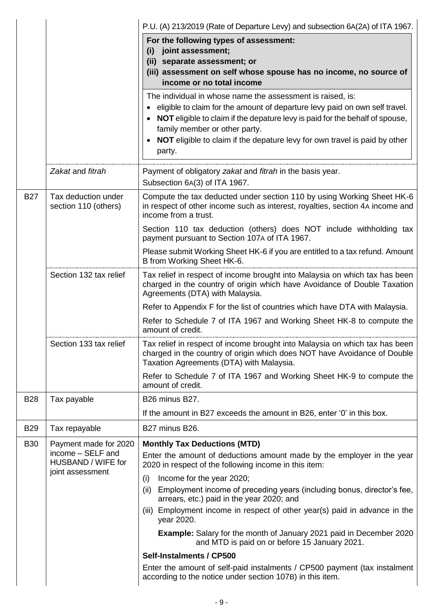|            |                                                             | P.U. (A) 213/2019 (Rate of Departure Levy) and subsection 6A(2A) of ITA 1967.                                                                                                                                                                                                                                                                      |  |  |  |
|------------|-------------------------------------------------------------|----------------------------------------------------------------------------------------------------------------------------------------------------------------------------------------------------------------------------------------------------------------------------------------------------------------------------------------------------|--|--|--|
|            |                                                             | For the following types of assessment:<br>joint assessment;<br>(i)<br>(ii) separate assessment; or<br>(iii) assessment on self whose spouse has no income, no source of<br>income or no total income                                                                                                                                               |  |  |  |
|            |                                                             | The individual in whose name the assessment is raised, is:<br>eligible to claim for the amount of departure levy paid on own self travel.<br>NOT eligible to claim if the depature levy is paid for the behalf of spouse,<br>family member or other party.<br>NOT eligible to claim if the depature levy for own travel is paid by other<br>party. |  |  |  |
|            | Zakat and fitrah                                            | Payment of obligatory zakat and fitrah in the basis year.<br>Subsection 6A(3) of ITA 1967.                                                                                                                                                                                                                                                         |  |  |  |
| <b>B27</b> | Tax deduction under<br>section 110 (others)                 | Compute the tax deducted under section 110 by using Working Sheet HK-6<br>in respect of other income such as interest, royalties, section 4A income and<br>income from a trust.                                                                                                                                                                    |  |  |  |
|            |                                                             | Section 110 tax deduction (others) does NOT include withholding tax<br>payment pursuant to Section 107A of ITA 1967.                                                                                                                                                                                                                               |  |  |  |
|            |                                                             | Please submit Working Sheet HK-6 if you are entitled to a tax refund. Amount<br>B from Working Sheet HK-6.                                                                                                                                                                                                                                         |  |  |  |
|            | Section 132 tax relief                                      | Tax relief in respect of income brought into Malaysia on which tax has been<br>charged in the country of origin which have Avoidance of Double Taxation<br>Agreements (DTA) with Malaysia.                                                                                                                                                         |  |  |  |
|            |                                                             | Refer to Appendix F for the list of countries which have DTA with Malaysia.                                                                                                                                                                                                                                                                        |  |  |  |
|            |                                                             | Refer to Schedule 7 of ITA 1967 and Working Sheet HK-8 to compute the<br>amount of credit.                                                                                                                                                                                                                                                         |  |  |  |
|            | Section 133 tax relief                                      | Tax relief in respect of income brought into Malaysia on which tax has been<br>charged in the country of origin which does NOT have Avoidance of Double<br>Taxation Agreements (DTA) with Malaysia.                                                                                                                                                |  |  |  |
|            |                                                             | Refer to Schedule 7 of ITA 1967 and Working Sheet HK-9 to compute the<br>amount of credit.                                                                                                                                                                                                                                                         |  |  |  |
| <b>B28</b> | Tax payable                                                 | B26 minus B27.                                                                                                                                                                                                                                                                                                                                     |  |  |  |
|            |                                                             | If the amount in B27 exceeds the amount in B26, enter '0' in this box.                                                                                                                                                                                                                                                                             |  |  |  |
| <b>B29</b> | Tax repayable                                               | B27 minus B26.                                                                                                                                                                                                                                                                                                                                     |  |  |  |
| <b>B30</b> | Payment made for 2020                                       | <b>Monthly Tax Deductions (MTD)</b>                                                                                                                                                                                                                                                                                                                |  |  |  |
|            | income - SELF and<br>HUSBAND / WIFE for<br>joint assessment | Enter the amount of deductions amount made by the employer in the year<br>2020 in respect of the following income in this item:                                                                                                                                                                                                                    |  |  |  |
|            |                                                             | Income for the year 2020;<br>(i)                                                                                                                                                                                                                                                                                                                   |  |  |  |
|            |                                                             | Employment income of preceding years (including bonus, director's fee,<br>(ii)<br>arrears, etc.) paid in the year 2020; and                                                                                                                                                                                                                        |  |  |  |
|            |                                                             | (iii) Employment income in respect of other year(s) paid in advance in the<br>year 2020.                                                                                                                                                                                                                                                           |  |  |  |
|            |                                                             | <b>Example:</b> Salary for the month of January 2021 paid in December 2020<br>and MTD is paid on or before 15 January 2021.                                                                                                                                                                                                                        |  |  |  |
|            |                                                             | Self-Instalments / CP500                                                                                                                                                                                                                                                                                                                           |  |  |  |
|            |                                                             | Enter the amount of self-paid instalments / CP500 payment (tax instalment<br>according to the notice under section 107B) in this item.                                                                                                                                                                                                             |  |  |  |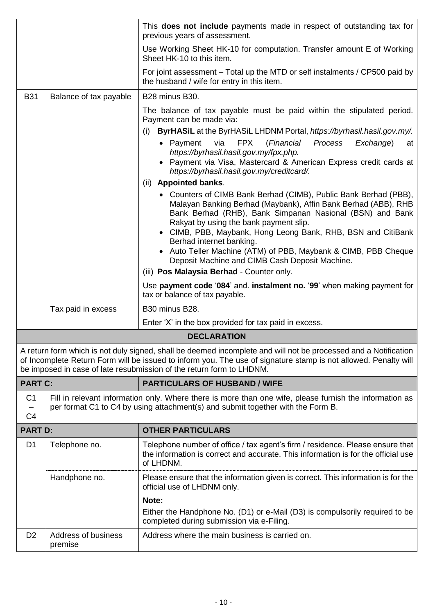|                                  |                                | This <b>does not include</b> payments made in respect of outstanding tax for<br>previous years of assessment.                                                                                                                                                                                                                                                                                                                                            |
|----------------------------------|--------------------------------|----------------------------------------------------------------------------------------------------------------------------------------------------------------------------------------------------------------------------------------------------------------------------------------------------------------------------------------------------------------------------------------------------------------------------------------------------------|
|                                  |                                | Use Working Sheet HK-10 for computation. Transfer amount E of Working<br>Sheet HK-10 to this item.                                                                                                                                                                                                                                                                                                                                                       |
|                                  |                                | For joint assessment – Total up the MTD or self instalments / CP500 paid by<br>the husband / wife for entry in this item.                                                                                                                                                                                                                                                                                                                                |
| <b>B31</b>                       | Balance of tax payable         | B28 minus B30.                                                                                                                                                                                                                                                                                                                                                                                                                                           |
|                                  |                                | The balance of tax payable must be paid within the stipulated period.<br>Payment can be made via:<br>ByrHASiL at the ByrHASiL LHDNM Portal, https://byrhasil.hasil.gov.my/.<br>(i)<br>via<br><b>FPX</b><br>(Financial Process<br>• Payment<br>Exchange)<br>at<br>https://byrhasil.hasil.gov.my/fpx.php.<br>• Payment via Visa, Mastercard & American Express credit cards at<br>https://byrhasil.hasil.gov.my/creditcard/.                               |
|                                  |                                | (ii) Appointed banks.                                                                                                                                                                                                                                                                                                                                                                                                                                    |
|                                  |                                | • Counters of CIMB Bank Berhad (CIMB), Public Bank Berhad (PBB),<br>Malayan Banking Berhad (Maybank), Affin Bank Berhad (ABB), RHB<br>Bank Berhad (RHB), Bank Simpanan Nasional (BSN) and Bank<br>Rakyat by using the bank payment slip.<br>• CIMB, PBB, Maybank, Hong Leong Bank, RHB, BSN and CitiBank<br>Berhad internet banking.<br>• Auto Teller Machine (ATM) of PBB, Maybank & CIMB, PBB Cheque<br>Deposit Machine and CIMB Cash Deposit Machine. |
|                                  |                                | (iii) Pos Malaysia Berhad - Counter only.                                                                                                                                                                                                                                                                                                                                                                                                                |
|                                  |                                | Use payment code '084' and. instalment no. '99' when making payment for<br>tax or balance of tax payable.                                                                                                                                                                                                                                                                                                                                                |
|                                  | Tax paid in excess             | <b>B30 minus B28.</b>                                                                                                                                                                                                                                                                                                                                                                                                                                    |
|                                  |                                | Enter 'X' in the box provided for tax paid in excess.                                                                                                                                                                                                                                                                                                                                                                                                    |
|                                  |                                | <b>DECLARATION</b>                                                                                                                                                                                                                                                                                                                                                                                                                                       |
|                                  |                                | A return form which is not duly signed, shall be deemed incomplete and will not be processed and a Notification<br>of Incomplete Return Form will be issued to inform you. The use of signature stamp is not allowed. Penalty will<br>be imposed in case of late resubmission of the return form to LHDNM.                                                                                                                                               |
| <b>PART C:</b>                   |                                | <b>PARTICULARS OF HUSBAND / WIFE</b>                                                                                                                                                                                                                                                                                                                                                                                                                     |
| C <sub>1</sub><br>C <sub>4</sub> |                                | Fill in relevant information only. Where there is more than one wife, please furnish the information as<br>per format C1 to C4 by using attachment(s) and submit together with the Form B.                                                                                                                                                                                                                                                               |
| <b>PART D:</b>                   |                                | <b>OTHER PARTICULARS</b>                                                                                                                                                                                                                                                                                                                                                                                                                                 |
| D <sub>1</sub>                   | Telephone no.                  | Telephone number of office / tax agent's firm / residence. Please ensure that<br>the information is correct and accurate. This information is for the official use<br>of LHDNM.                                                                                                                                                                                                                                                                          |
|                                  | Handphone no.                  | Please ensure that the information given is correct. This information is for the<br>official use of LHDNM only.                                                                                                                                                                                                                                                                                                                                          |
|                                  |                                | Note:                                                                                                                                                                                                                                                                                                                                                                                                                                                    |
|                                  |                                | Either the Handphone No. (D1) or e-Mail (D3) is compulsorily required to be<br>completed during submission via e-Filing.                                                                                                                                                                                                                                                                                                                                 |
| D <sub>2</sub>                   | Address of business<br>premise | Address where the main business is carried on.                                                                                                                                                                                                                                                                                                                                                                                                           |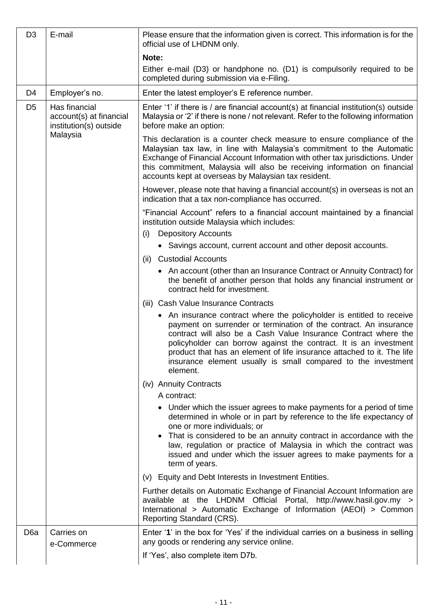| D <sub>3</sub>   | E-mail                                                             | Please ensure that the information given is correct. This information is for the<br>official use of LHDNM only.                                                                                                                                                                                                                                                                                                                           |  |
|------------------|--------------------------------------------------------------------|-------------------------------------------------------------------------------------------------------------------------------------------------------------------------------------------------------------------------------------------------------------------------------------------------------------------------------------------------------------------------------------------------------------------------------------------|--|
|                  |                                                                    | Note:                                                                                                                                                                                                                                                                                                                                                                                                                                     |  |
|                  |                                                                    | Either e-mail (D3) or handphone no. (D1) is compulsorily required to be<br>completed during submission via e-Filing.                                                                                                                                                                                                                                                                                                                      |  |
| D <sub>4</sub>   | Employer's no.                                                     | Enter the latest employer's E reference number.                                                                                                                                                                                                                                                                                                                                                                                           |  |
| D <sub>5</sub>   | Has financial<br>account(s) at financial<br>institution(s) outside | Enter '1' if there is / are financial account(s) at financial institution(s) outside<br>Malaysia or '2' if there is none / not relevant. Refer to the following information<br>before make an option:                                                                                                                                                                                                                                     |  |
|                  | Malaysia                                                           | This declaration is a counter check measure to ensure compliance of the<br>Malaysian tax law, in line with Malaysia's commitment to the Automatic<br>Exchange of Financial Account Information with other tax jurisdictions. Under<br>this commitment, Malaysia will also be receiving information on financial<br>accounts kept at overseas by Malaysian tax resident.                                                                   |  |
|                  |                                                                    | However, please note that having a financial account(s) in overseas is not an<br>indication that a tax non-compliance has occurred.                                                                                                                                                                                                                                                                                                       |  |
|                  |                                                                    | "Financial Account" refers to a financial account maintained by a financial<br>institution outside Malaysia which includes:<br><b>Depository Accounts</b><br>(i)                                                                                                                                                                                                                                                                          |  |
|                  |                                                                    | • Savings account, current account and other deposit accounts.                                                                                                                                                                                                                                                                                                                                                                            |  |
|                  |                                                                    | <b>Custodial Accounts</b><br>(ii)                                                                                                                                                                                                                                                                                                                                                                                                         |  |
|                  |                                                                    | • An account (other than an Insurance Contract or Annuity Contract) for<br>the benefit of another person that holds any financial instrument or<br>contract held for investment.                                                                                                                                                                                                                                                          |  |
|                  |                                                                    | (iii) Cash Value Insurance Contracts                                                                                                                                                                                                                                                                                                                                                                                                      |  |
|                  |                                                                    | • An insurance contract where the policyholder is entitled to receive<br>payment on surrender or termination of the contract. An insurance<br>contract will also be a Cash Value Insurance Contract where the<br>policyholder can borrow against the contract. It is an investment<br>product that has an element of life insurance attached to it. The life<br>insurance element usually is small compared to the investment<br>element. |  |
|                  |                                                                    | (iv) Annuity Contracts                                                                                                                                                                                                                                                                                                                                                                                                                    |  |
|                  |                                                                    | A contract:                                                                                                                                                                                                                                                                                                                                                                                                                               |  |
|                  |                                                                    | • Under which the issuer agrees to make payments for a period of time<br>determined in whole or in part by reference to the life expectancy of<br>one or more individuals; or<br>• That is considered to be an annuity contract in accordance with the                                                                                                                                                                                    |  |
|                  |                                                                    | law, regulation or practice of Malaysia in which the contract was<br>issued and under which the issuer agrees to make payments for a<br>term of years.                                                                                                                                                                                                                                                                                    |  |
|                  |                                                                    | (v) Equity and Debt Interests in Investment Entities.                                                                                                                                                                                                                                                                                                                                                                                     |  |
|                  |                                                                    | Further details on Automatic Exchange of Financial Account Information are<br>available at the LHDNM Official Portal, http://www.hasil.gov.my ><br>International > Automatic Exchange of Information (AEOI) > Common<br>Reporting Standard (CRS).                                                                                                                                                                                         |  |
| D <sub>6</sub> a | Carries on<br>e-Commerce                                           | Enter '1' in the box for 'Yes' if the individual carries on a business in selling<br>any goods or rendering any service online.                                                                                                                                                                                                                                                                                                           |  |
|                  |                                                                    | If 'Yes', also complete item D7b.                                                                                                                                                                                                                                                                                                                                                                                                         |  |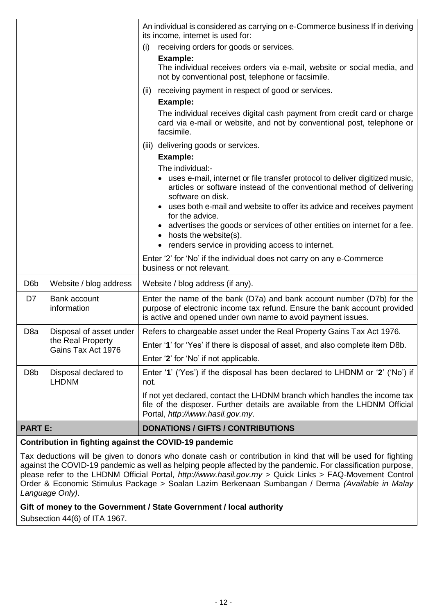|                  |                                         | An individual is considered as carrying on e-Commerce business If in deriving<br>its income, internet is used for:<br>receiving orders for goods or services.<br>(i)<br><b>Example:</b><br>The individual receives orders via e-mail, website or social media, and<br>not by conventional post, telephone or facsimile.                                                                                                                                                                                |  |  |
|------------------|-----------------------------------------|--------------------------------------------------------------------------------------------------------------------------------------------------------------------------------------------------------------------------------------------------------------------------------------------------------------------------------------------------------------------------------------------------------------------------------------------------------------------------------------------------------|--|--|
|                  |                                         | receiving payment in respect of good or services.<br>(ii)<br>Example:<br>The individual receives digital cash payment from credit card or charge<br>card via e-mail or website, and not by conventional post, telephone or<br>facsimile.                                                                                                                                                                                                                                                               |  |  |
|                  |                                         | (iii) delivering goods or services.<br>Example:<br>The individual:-<br>uses e-mail, internet or file transfer protocol to deliver digitized music,<br>articles or software instead of the conventional method of delivering<br>software on disk.<br>uses both e-mail and website to offer its advice and receives payment<br>for the advice.<br>advertises the goods or services of other entities on internet for a fee.<br>hosts the website(s).<br>renders service in providing access to internet. |  |  |
|                  |                                         | Enter '2' for 'No' if the individual does not carry on any e-Commerce<br>business or not relevant.                                                                                                                                                                                                                                                                                                                                                                                                     |  |  |
| D <sub>6</sub> b | Website / blog address                  | Website / blog address (if any).                                                                                                                                                                                                                                                                                                                                                                                                                                                                       |  |  |
| D7               | Bank account<br>information             | Enter the name of the bank (D7a) and bank account number (D7b) for the<br>purpose of electronic income tax refund. Ensure the bank account provided<br>is active and opened under own name to avoid payment issues.                                                                                                                                                                                                                                                                                    |  |  |
| D <sub>8</sub> a | Disposal of asset under                 | Refers to chargeable asset under the Real Property Gains Tax Act 1976.                                                                                                                                                                                                                                                                                                                                                                                                                                 |  |  |
|                  | the Real Property<br>Gains Tax Act 1976 | Enter '1' for 'Yes' if there is disposal of asset, and also complete item D8b.                                                                                                                                                                                                                                                                                                                                                                                                                         |  |  |
|                  |                                         | Enter '2' for 'No' if not applicable.                                                                                                                                                                                                                                                                                                                                                                                                                                                                  |  |  |
| D <sub>8</sub> b | Disposal declared to<br><b>LHDNM</b>    | Enter '1' ('Yes') if the disposal has been declared to LHDNM or '2' ('No') if<br>not.                                                                                                                                                                                                                                                                                                                                                                                                                  |  |  |
|                  |                                         | If not yet declared, contact the LHDNM branch which handles the income tax<br>file of the disposer. Further details are available from the LHDNM Official<br>Portal, http://www.hasil.gov.my.                                                                                                                                                                                                                                                                                                          |  |  |
| <b>PART E:</b>   |                                         | <b>DONATIONS / GIFTS / CONTRIBUTIONS</b>                                                                                                                                                                                                                                                                                                                                                                                                                                                               |  |  |

# **Contribution in fighting against the COVID-19 pandemic**

Tax deductions will be given to donors who donate cash or contribution in kind that will be used for fighting against the COVID-19 pandemic as well as helping people affected by the pandemic. For classification purpose, please refer to the LHDNM Official Portal, *http://www.hasil.gov.my* > Quick Links > FAQ-Movement Control Order & Economic Stimulus Package > Soalan Lazim Berkenaan Sumbangan / Derma *(Available in Malay Language Only)*.

# **Gift of money to the Government / State Government / local authority** Subsection 44(6) of ITA 1967.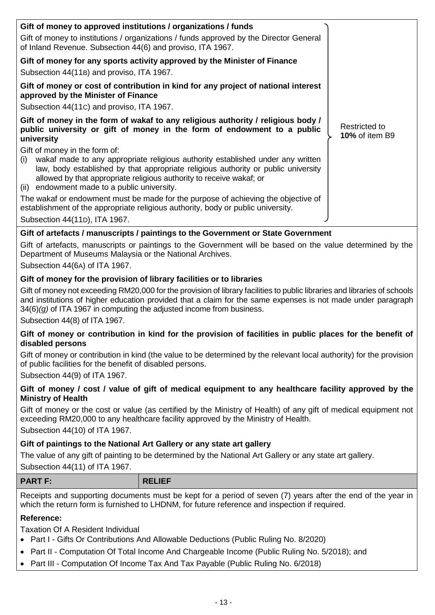| Gift of money to approved institutions / organizations / funds                                                                                                                                                                                                                                      |                                        |
|-----------------------------------------------------------------------------------------------------------------------------------------------------------------------------------------------------------------------------------------------------------------------------------------------------|----------------------------------------|
| Gift of money to institutions / organizations / funds approved by the Director General<br>of Inland Revenue. Subsection 44(6) and proviso, ITA 1967.                                                                                                                                                |                                        |
| Gift of money for any sports activity approved by the Minister of Finance<br>Subsection 44(11B) and proviso, ITA 1967.                                                                                                                                                                              |                                        |
| Gift of money or cost of contribution in kind for any project of national interest                                                                                                                                                                                                                  |                                        |
| approved by the Minister of Finance                                                                                                                                                                                                                                                                 |                                        |
| Subsection 44(11c) and proviso, ITA 1967.                                                                                                                                                                                                                                                           |                                        |
| Gift of money in the form of wakaf to any religious authority / religious body /<br>public university or gift of money in the form of endowment to a public<br>university                                                                                                                           | Restricted to<br><b>10% of item B9</b> |
| Gift of money in the form of:                                                                                                                                                                                                                                                                       |                                        |
| wakaf made to any appropriate religious authority established under any written<br>(i)<br>law, body established by that appropriate religious authority or public university<br>allowed by that appropriate religious authority to receive wakaf; or<br>(ii) endowment made to a public university. |                                        |
|                                                                                                                                                                                                                                                                                                     |                                        |
| The wakaf or endowment must be made for the purpose of achieving the objective of<br>establishment of the appropriate religious authority, body or public university.                                                                                                                               |                                        |
| Subsection 44(11D), ITA 1967.                                                                                                                                                                                                                                                                       |                                        |

# **Gift of artefacts / manuscripts / paintings to the Government or State Government**

Gift of artefacts, manuscripts or paintings to the Government will be based on the value determined by the Department of Museums Malaysia or the National Archives.

Subsection 44(6A) of ITA 1967.

#### **Gift of money for the provision of library facilities or to libraries**

Gift of money not exceeding RM20,000 for the provision of library facilities to public libraries and libraries of schools and institutions of higher education provided that a claim for the same expenses is not made under paragraph 34(6)*(g)* of ITA 1967 in computing the adjusted income from business.

Subsection 44(8) of ITA 1967.

#### **Gift of money or contribution in kind for the provision of facilities in public places for the benefit of disabled persons**

Gift of money or contribution in kind (the value to be determined by the relevant local authority) for the provision of public facilities for the benefit of disabled persons.

Subsection 44(9) of ITA 1967.

#### **Gift of money / cost / value of gift of medical equipment to any healthcare facility approved by the Ministry of Health**

Gift of money or the cost or value (as certified by the Ministry of Health) of any gift of medical equipment not exceeding RM20,000 to any healthcare facility approved by the Ministry of Health.

Subsection 44(10) of ITA 1967.

#### **Gift of paintings to the National Art Gallery or any state art gallery**

The value of any gift of painting to be determined by the National Art Gallery or any state art gallery.

Subsection 44(11) of ITA 1967.

| <b>PART F:</b> | <b>RELIEF</b> |
|----------------|---------------|
|----------------|---------------|

Receipts and supporting documents must be kept for a period of seven (7) years after the end of the year in which the return form is furnished to LHDNM, for future reference and inspection if required.

#### **Reference:**

Taxation Of A Resident Individual

- Part I Gifts Or Contributions And Allowable Deductions (Public Ruling No. 8/2020)
- Part II Computation Of Total Income And Chargeable Income (Public Ruling No. 5/2018); and
- Part III Computation Of Income Tax And Tax Payable (Public Ruling No. 6/2018)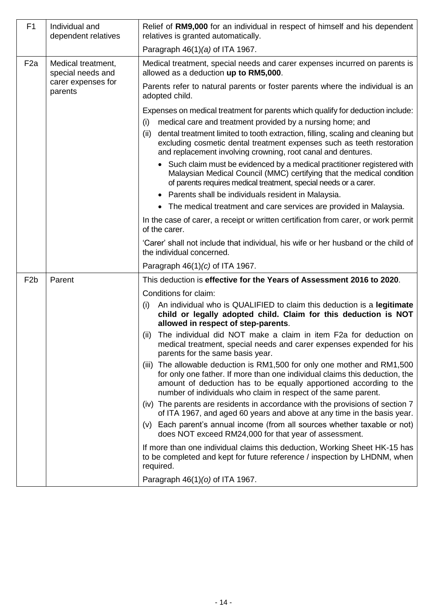| F1               | Individual and<br>dependent relatives   | Relief of RM9,000 for an individual in respect of himself and his dependent<br>relatives is granted automatically.                                                                                                                                                                                                                                                                                                                                                                                                                                                                                                                                                    |  |  |
|------------------|-----------------------------------------|-----------------------------------------------------------------------------------------------------------------------------------------------------------------------------------------------------------------------------------------------------------------------------------------------------------------------------------------------------------------------------------------------------------------------------------------------------------------------------------------------------------------------------------------------------------------------------------------------------------------------------------------------------------------------|--|--|
|                  |                                         | Paragraph 46(1)(a) of ITA 1967.                                                                                                                                                                                                                                                                                                                                                                                                                                                                                                                                                                                                                                       |  |  |
| F <sub>2</sub> a | Medical treatment,<br>special needs and | Medical treatment, special needs and carer expenses incurred on parents is<br>allowed as a deduction up to RM5,000.                                                                                                                                                                                                                                                                                                                                                                                                                                                                                                                                                   |  |  |
|                  | carer expenses for<br>parents           | Parents refer to natural parents or foster parents where the individual is an<br>adopted child.                                                                                                                                                                                                                                                                                                                                                                                                                                                                                                                                                                       |  |  |
|                  |                                         | Expenses on medical treatment for parents which qualify for deduction include:<br>medical care and treatment provided by a nursing home; and<br>(i)<br>dental treatment limited to tooth extraction, filling, scaling and cleaning but<br>(ii)<br>excluding cosmetic dental treatment expenses such as teeth restoration<br>and replacement involving crowning, root canal and dentures.<br>Such claim must be evidenced by a medical practitioner registered with<br>Malaysian Medical Council (MMC) certifying that the medical condition<br>of parents requires medical treatment, special needs or a carer.<br>Parents shall be individuals resident in Malaysia. |  |  |
|                  |                                         | • The medical treatment and care services are provided in Malaysia.                                                                                                                                                                                                                                                                                                                                                                                                                                                                                                                                                                                                   |  |  |
|                  |                                         | In the case of carer, a receipt or written certification from carer, or work permit<br>of the carer.                                                                                                                                                                                                                                                                                                                                                                                                                                                                                                                                                                  |  |  |
|                  |                                         | 'Carer' shall not include that individual, his wife or her husband or the child of<br>the individual concerned.                                                                                                                                                                                                                                                                                                                                                                                                                                                                                                                                                       |  |  |
|                  |                                         | Paragraph $46(1)(c)$ of ITA 1967.                                                                                                                                                                                                                                                                                                                                                                                                                                                                                                                                                                                                                                     |  |  |
| F <sub>2</sub> b | Parent                                  | This deduction is effective for the Years of Assessment 2016 to 2020.                                                                                                                                                                                                                                                                                                                                                                                                                                                                                                                                                                                                 |  |  |
|                  |                                         | Conditions for claim:                                                                                                                                                                                                                                                                                                                                                                                                                                                                                                                                                                                                                                                 |  |  |
|                  |                                         | An individual who is QUALIFIED to claim this deduction is a legitimate<br>(i)<br>child or legally adopted child. Claim for this deduction is NOT<br>allowed in respect of step-parents.                                                                                                                                                                                                                                                                                                                                                                                                                                                                               |  |  |
|                  |                                         | The individual did NOT make a claim in item F2a for deduction on<br>(ii)<br>medical treatment, special needs and carer expenses expended for his<br>parents for the same basis year.                                                                                                                                                                                                                                                                                                                                                                                                                                                                                  |  |  |
|                  |                                         | (iii) The allowable deduction is RM1,500 for only one mother and RM1,500<br>for only one father. If more than one individual claims this deduction, the<br>amount of deduction has to be equally apportioned according to the<br>number of individuals who claim in respect of the same parent.                                                                                                                                                                                                                                                                                                                                                                       |  |  |
|                  |                                         | (iv) The parents are residents in accordance with the provisions of section 7<br>of ITA 1967, and aged 60 years and above at any time in the basis year.<br>Each parent's annual income (from all sources whether taxable or not)<br>(V)<br>does NOT exceed RM24,000 for that year of assessment.                                                                                                                                                                                                                                                                                                                                                                     |  |  |
|                  |                                         | If more than one individual claims this deduction, Working Sheet HK-15 has<br>to be completed and kept for future reference / inspection by LHDNM, when<br>required.                                                                                                                                                                                                                                                                                                                                                                                                                                                                                                  |  |  |
|                  |                                         | Paragraph 46(1)(o) of ITA 1967.                                                                                                                                                                                                                                                                                                                                                                                                                                                                                                                                                                                                                                       |  |  |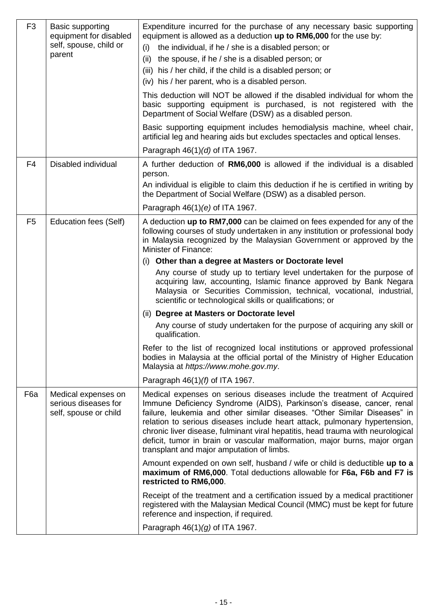| F <sub>3</sub> | Basic supporting<br>equipment for disabled<br>self, spouse, child or<br>parent | Expenditure incurred for the purchase of any necessary basic supporting<br>equipment is allowed as a deduction up to RM6,000 for the use by:<br>the individual, if he / she is a disabled person; or<br>(i)<br>(ii)<br>the spouse, if he / she is a disabled person; or<br>(iii) his / her child, if the child is a disabled person; or<br>(iv) his / her parent, who is a disabled person.<br>This deduction will NOT be allowed if the disabled individual for whom the<br>basic supporting equipment is purchased, is not registered with the<br>Department of Social Welfare (DSW) as a disabled person.<br>Basic supporting equipment includes hemodialysis machine, wheel chair,<br>artificial leg and hearing aids but excludes spectacles and optical lenses.<br>Paragraph $46(1)(d)$ of ITA 1967.                                                                                                                                                                                              |
|----------------|--------------------------------------------------------------------------------|---------------------------------------------------------------------------------------------------------------------------------------------------------------------------------------------------------------------------------------------------------------------------------------------------------------------------------------------------------------------------------------------------------------------------------------------------------------------------------------------------------------------------------------------------------------------------------------------------------------------------------------------------------------------------------------------------------------------------------------------------------------------------------------------------------------------------------------------------------------------------------------------------------------------------------------------------------------------------------------------------------|
| F <sub>4</sub> | Disabled individual                                                            | A further deduction of RM6,000 is allowed if the individual is a disabled<br>person.<br>An individual is eligible to claim this deduction if he is certified in writing by<br>the Department of Social Welfare (DSW) as a disabled person.<br>Paragraph $46(1)(e)$ of ITA 1967.                                                                                                                                                                                                                                                                                                                                                                                                                                                                                                                                                                                                                                                                                                                         |
| F <sub>5</sub> | <b>Education fees (Self)</b>                                                   | A deduction up to RM7,000 can be claimed on fees expended for any of the<br>following courses of study undertaken in any institution or professional body<br>in Malaysia recognized by the Malaysian Government or approved by the<br><b>Minister of Finance:</b><br>(i) Other than a degree at Masters or Doctorate level<br>Any course of study up to tertiary level undertaken for the purpose of<br>acquiring law, accounting, Islamic finance approved by Bank Negara<br>Malaysia or Securities Commission, technical, vocational, industrial,<br>scientific or technological skills or qualifications; or<br>(ii) Degree at Masters or Doctorate level<br>Any course of study undertaken for the purpose of acquiring any skill or<br>qualification.<br>Refer to the list of recognized local institutions or approved professional<br>bodies in Malaysia at the official portal of the Ministry of Higher Education<br>Malaysia at https://www.mohe.gov.my.<br>Paragraph $46(1)(f)$ of ITA 1967. |
| F6a            | Medical expenses on<br>serious diseases for<br>self, spouse or child           | Medical expenses on serious diseases include the treatment of Acquired<br>Immune Deficiency Syndrome (AIDS), Parkinson's disease, cancer, renal<br>failure, leukemia and other similar diseases. "Other Similar Diseases" in<br>relation to serious diseases include heart attack, pulmonary hypertension,<br>chronic liver disease, fulminant viral hepatitis, head trauma with neurological<br>deficit, tumor in brain or vascular malformation, major burns, major organ<br>transplant and major amputation of limbs.<br>Amount expended on own self, husband / wife or child is deductible up to a<br>maximum of RM6,000. Total deductions allowable for F6a, F6b and F7 is<br>restricted to RM6,000.<br>Receipt of the treatment and a certification issued by a medical practitioner<br>registered with the Malaysian Medical Council (MMC) must be kept for future<br>reference and inspection, if required.<br>Paragraph $46(1)(g)$ of ITA 1967.                                                |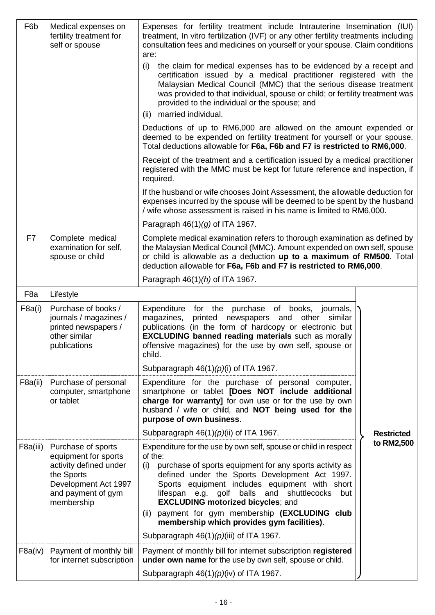| F6b              | Medical expenses on<br>fertility treatment for<br>self or spouse                                                                               | Expenses for fertility treatment include Intrauterine Insemination (IUI)<br>treatment, In vitro fertilization (IVF) or any other fertility treatments including<br>consultation fees and medicines on yourself or your spouse. Claim conditions<br>are:<br>the claim for medical expenses has to be evidenced by a receipt and<br>(i)<br>certification issued by a medical practitioner registered with the<br>Malaysian Medical Council (MMC) that the serious disease treatment<br>was provided to that individual, spouse or child; or fertility treatment was<br>provided to the individual or the spouse; and<br>married individual.<br>(ii)<br>Deductions of up to RM6,000 are allowed on the amount expended or<br>deemed to be expended on fertility treatment for yourself or your spouse.<br>Total deductions allowable for F6a, F6b and F7 is restricted to RM6,000.<br>Receipt of the treatment and a certification issued by a medical practitioner<br>registered with the MMC must be kept for future reference and inspection, if<br>required.<br>If the husband or wife chooses Joint Assessment, the allowable deduction for<br>expenses incurred by the spouse will be deemed to be spent by the husband<br>/ wife whose assessment is raised in his name is limited to RM6,000.<br>Paragraph $46(1)(g)$ of ITA 1967. |                   |  |  |
|------------------|------------------------------------------------------------------------------------------------------------------------------------------------|-----------------------------------------------------------------------------------------------------------------------------------------------------------------------------------------------------------------------------------------------------------------------------------------------------------------------------------------------------------------------------------------------------------------------------------------------------------------------------------------------------------------------------------------------------------------------------------------------------------------------------------------------------------------------------------------------------------------------------------------------------------------------------------------------------------------------------------------------------------------------------------------------------------------------------------------------------------------------------------------------------------------------------------------------------------------------------------------------------------------------------------------------------------------------------------------------------------------------------------------------------------------------------------------------------------------------------------------|-------------------|--|--|
| F7               | Complete medical                                                                                                                               | Complete medical examination refers to thorough examination as defined by                                                                                                                                                                                                                                                                                                                                                                                                                                                                                                                                                                                                                                                                                                                                                                                                                                                                                                                                                                                                                                                                                                                                                                                                                                                               |                   |  |  |
|                  | examination for self,<br>spouse or child                                                                                                       | the Malaysian Medical Council (MMC). Amount expended on own self, spouse<br>or child is allowable as a deduction up to a maximum of RM500. Total<br>deduction allowable for F6a, F6b and F7 is restricted to RM6,000.                                                                                                                                                                                                                                                                                                                                                                                                                                                                                                                                                                                                                                                                                                                                                                                                                                                                                                                                                                                                                                                                                                                   |                   |  |  |
|                  |                                                                                                                                                | Paragraph 46(1)(h) of ITA 1967.                                                                                                                                                                                                                                                                                                                                                                                                                                                                                                                                                                                                                                                                                                                                                                                                                                                                                                                                                                                                                                                                                                                                                                                                                                                                                                         |                   |  |  |
| F <sub>8</sub> a | Lifestyle                                                                                                                                      |                                                                                                                                                                                                                                                                                                                                                                                                                                                                                                                                                                                                                                                                                                                                                                                                                                                                                                                                                                                                                                                                                                                                                                                                                                                                                                                                         |                   |  |  |
| F8a(i)           | Purchase of books /<br>journals / magazines /<br>printed newspapers /<br>other similar<br>publications                                         | Expenditure for the purchase of books, journals,<br>magazines,<br>printed newspapers and other<br>similar<br>publications (in the form of hardcopy or electronic but<br><b>EXCLUDING banned reading materials</b> such as morally<br>offensive magazines) for the use by own self, spouse or<br>child.<br>Subparagraph $46(1)(p)(i)$ of ITA 1967.                                                                                                                                                                                                                                                                                                                                                                                                                                                                                                                                                                                                                                                                                                                                                                                                                                                                                                                                                                                       |                   |  |  |
| F8a(ii)          | Purchase of personal                                                                                                                           | Expenditure for the purchase of personal computer,                                                                                                                                                                                                                                                                                                                                                                                                                                                                                                                                                                                                                                                                                                                                                                                                                                                                                                                                                                                                                                                                                                                                                                                                                                                                                      |                   |  |  |
|                  | computer, smartphone<br>or tablet                                                                                                              | smartphone or tablet [Does NOT include additional<br>charge for warranty] for own use or for the use by own<br>husband / wife or child, and NOT being used for the<br>purpose of own business.                                                                                                                                                                                                                                                                                                                                                                                                                                                                                                                                                                                                                                                                                                                                                                                                                                                                                                                                                                                                                                                                                                                                          |                   |  |  |
|                  |                                                                                                                                                | Subparagraph $46(1)(p)(ii)$ of ITA 1967.                                                                                                                                                                                                                                                                                                                                                                                                                                                                                                                                                                                                                                                                                                                                                                                                                                                                                                                                                                                                                                                                                                                                                                                                                                                                                                | <b>Restricted</b> |  |  |
| F8a(iii)         | Purchase of sports<br>equipment for sports<br>activity defined under<br>the Sports<br>Development Act 1997<br>and payment of gym<br>membership | Expenditure for the use by own self, spouse or child in respect<br>of the:<br>purchase of sports equipment for any sports activity as<br>(i)<br>defined under the Sports Development Act 1997.<br>Sports equipment includes equipment with short<br>lifespan e.g. golf balls and shuttlecocks<br>but<br><b>EXCLUDING motorized bicycles; and</b>                                                                                                                                                                                                                                                                                                                                                                                                                                                                                                                                                                                                                                                                                                                                                                                                                                                                                                                                                                                        | to RM2,500        |  |  |
|                  |                                                                                                                                                | payment for gym membership (EXCLUDING club<br>(ii)<br>membership which provides gym facilities).                                                                                                                                                                                                                                                                                                                                                                                                                                                                                                                                                                                                                                                                                                                                                                                                                                                                                                                                                                                                                                                                                                                                                                                                                                        |                   |  |  |
|                  |                                                                                                                                                | Subparagraph $46(1)(p)(iii)$ of ITA 1967.                                                                                                                                                                                                                                                                                                                                                                                                                                                                                                                                                                                                                                                                                                                                                                                                                                                                                                                                                                                                                                                                                                                                                                                                                                                                                               |                   |  |  |
| F8a(iv)          | Payment of monthly bill<br>for internet subscription                                                                                           | Payment of monthly bill for internet subscription registered<br>under own name for the use by own self, spouse or child.                                                                                                                                                                                                                                                                                                                                                                                                                                                                                                                                                                                                                                                                                                                                                                                                                                                                                                                                                                                                                                                                                                                                                                                                                |                   |  |  |
|                  |                                                                                                                                                | Subparagraph $46(1)(p)(iv)$ of ITA 1967.                                                                                                                                                                                                                                                                                                                                                                                                                                                                                                                                                                                                                                                                                                                                                                                                                                                                                                                                                                                                                                                                                                                                                                                                                                                                                                |                   |  |  |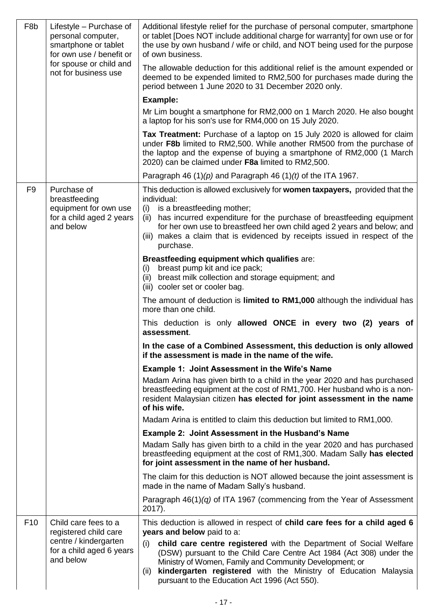| F <sub>8</sub> b | Lifestyle - Purchase of<br>personal computer,<br>smartphone or tablet<br>for own use / benefit or<br>for spouse or child and<br>not for business use | Additional lifestyle relief for the purchase of personal computer, smartphone<br>or tablet [Does NOT include additional charge for warranty] for own use or for<br>the use by own husband / wife or child, and NOT being used for the purpose<br>of own business.<br>The allowable deduction for this additional relief is the amount expended or |  |  |  |
|------------------|------------------------------------------------------------------------------------------------------------------------------------------------------|---------------------------------------------------------------------------------------------------------------------------------------------------------------------------------------------------------------------------------------------------------------------------------------------------------------------------------------------------|--|--|--|
|                  |                                                                                                                                                      | deemed to be expended limited to RM2,500 for purchases made during the<br>period between 1 June 2020 to 31 December 2020 only.                                                                                                                                                                                                                    |  |  |  |
|                  |                                                                                                                                                      | <b>Example:</b>                                                                                                                                                                                                                                                                                                                                   |  |  |  |
|                  |                                                                                                                                                      | Mr Lim bought a smartphone for RM2,000 on 1 March 2020. He also bought<br>a laptop for his son's use for RM4,000 on 15 July 2020.                                                                                                                                                                                                                 |  |  |  |
|                  |                                                                                                                                                      | Tax Treatment: Purchase of a laptop on 15 July 2020 is allowed for claim<br>under F8b limited to RM2,500. While another RM500 from the purchase of<br>the laptop and the expense of buying a smartphone of RM2,000 (1 March<br>2020) can be claimed under F8a limited to RM2,500.                                                                 |  |  |  |
|                  |                                                                                                                                                      | Paragraph 46 $(1)(p)$ and Paragraph 46 $(1)(t)$ of the ITA 1967.                                                                                                                                                                                                                                                                                  |  |  |  |
| F <sub>9</sub>   | Purchase of<br>breastfeeding                                                                                                                         | This deduction is allowed exclusively for women taxpayers, provided that the<br>individual:                                                                                                                                                                                                                                                       |  |  |  |
|                  | equipment for own use<br>for a child aged 2 years<br>and below                                                                                       | is a breastfeeding mother;<br>(i)<br>has incurred expenditure for the purchase of breastfeeding equipment<br>(ii)<br>for her own use to breastfeed her own child aged 2 years and below; and<br>makes a claim that is evidenced by receipts issued in respect of the<br>(iii)<br>purchase.                                                        |  |  |  |
|                  |                                                                                                                                                      | Breastfeeding equipment which qualifies are:                                                                                                                                                                                                                                                                                                      |  |  |  |
|                  |                                                                                                                                                      | breast pump kit and ice pack;<br>(i)<br>(ii) breast milk collection and storage equipment; and<br>(iii) cooler set or cooler bag.                                                                                                                                                                                                                 |  |  |  |
|                  |                                                                                                                                                      | The amount of deduction is limited to RM1,000 although the individual has<br>more than one child.                                                                                                                                                                                                                                                 |  |  |  |
|                  |                                                                                                                                                      | This deduction is only allowed ONCE in every two (2) years of<br>assessment.                                                                                                                                                                                                                                                                      |  |  |  |
|                  |                                                                                                                                                      | In the case of a Combined Assessment, this deduction is only allowed<br>if the assessment is made in the name of the wife.                                                                                                                                                                                                                        |  |  |  |
|                  |                                                                                                                                                      | <b>Example 1: Joint Assessment in the Wife's Name</b>                                                                                                                                                                                                                                                                                             |  |  |  |
|                  |                                                                                                                                                      | Madam Arina has given birth to a child in the year 2020 and has purchased<br>breastfeeding equipment at the cost of RM1,700. Her husband who is a non-<br>resident Malaysian citizen has elected for joint assessment in the name<br>of his wife.                                                                                                 |  |  |  |
|                  |                                                                                                                                                      | Madam Arina is entitled to claim this deduction but limited to RM1,000.                                                                                                                                                                                                                                                                           |  |  |  |
|                  |                                                                                                                                                      | <b>Example 2: Joint Assessment in the Husband's Name</b>                                                                                                                                                                                                                                                                                          |  |  |  |
|                  |                                                                                                                                                      | Madam Sally has given birth to a child in the year 2020 and has purchased<br>breastfeeding equipment at the cost of RM1,300. Madam Sally has elected<br>for joint assessment in the name of her husband.                                                                                                                                          |  |  |  |
|                  |                                                                                                                                                      | The claim for this deduction is NOT allowed because the joint assessment is<br>made in the name of Madam Sally's husband.                                                                                                                                                                                                                         |  |  |  |
|                  |                                                                                                                                                      | Paragraph $46(1)(q)$ of ITA 1967 (commencing from the Year of Assessment<br>2017).                                                                                                                                                                                                                                                                |  |  |  |
| F <sub>10</sub>  | Child care fees to a<br>registered child care                                                                                                        | This deduction is allowed in respect of child care fees for a child aged 6<br>years and below paid to a:                                                                                                                                                                                                                                          |  |  |  |
|                  | centre / kindergarten<br>for a child aged 6 years<br>and below                                                                                       | child care centre registered with the Department of Social Welfare<br>(i)<br>(DSW) pursuant to the Child Care Centre Act 1984 (Act 308) under the<br>Ministry of Women, Family and Community Development; or<br>kindergarten registered with the Ministry of Education Malaysia<br>(ii)<br>pursuant to the Education Act 1996 (Act 550).          |  |  |  |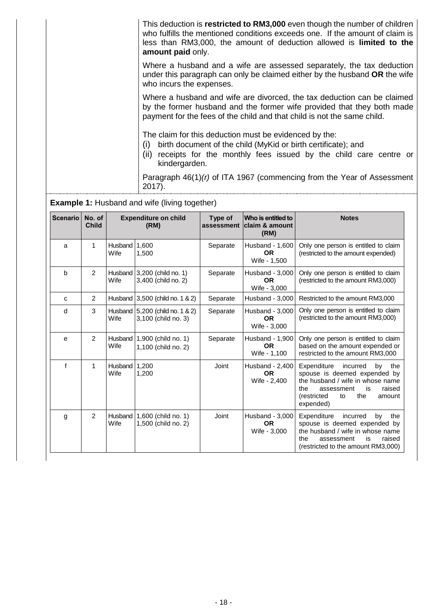|  | This deduction is restricted to RM3,000 even though the number of children<br>who fulfills the mentioned conditions exceeds one. If the amount of claim is<br>less than RM3,000, the amount of deduction allowed is <b>limited to the</b><br>amount paid only. |
|--|----------------------------------------------------------------------------------------------------------------------------------------------------------------------------------------------------------------------------------------------------------------|
|  | Where a husband and a wife are assessed separately, the tax deduction<br>under this paragraph can only be claimed either by the husband OR the wife<br>who incurs the expenses.                                                                                |
|  | Where a husband and wife are divorced, the tax deduction can be claimed<br>by the former husband and the former wife provided that they both made<br>payment for the fees of the child and that child is not the same child.                                   |
|  | The claim for this deduction must be evidenced by the:<br>birth document of the child (MyKid or birth certificate); and<br>(i)<br>(ii) receipts for the monthly fees issued by the child care centre or<br>kindergarden.                                       |
|  | Paragraph $46(1)(r)$ of ITA 1967 (commencing from the Year of Assessment<br>2017).                                                                                                                                                                             |

**Example 1:** Husband and wife (living together)

| <b>Scenario</b> | No. of<br><b>Child</b> |                        | <b>Expenditure on child</b><br>(RM)                    | Type of<br>assessment | Who is entitled to<br>lclaim & amount<br>(RM) | <b>Notes</b>                                                                                                                                                                                     |
|-----------------|------------------------|------------------------|--------------------------------------------------------|-----------------------|-----------------------------------------------|--------------------------------------------------------------------------------------------------------------------------------------------------------------------------------------------------|
| a               | 1                      | <b>Husband</b><br>Wife | 1.600<br>1,500                                         | Separate              | Husband - 1,600<br><b>OR</b><br>Wife - 1,500  | Only one person is entitled to claim<br>(restricted to the amount expended)                                                                                                                      |
| b               | $\overline{2}$         | Wife                   | Husband $3,200$ (child no. 1)<br>3,400 (child no. 2)   | Separate              | Husband - 3,000<br><b>OR</b><br>Wife - 3,000  | Only one person is entitled to claim<br>(restricted to the amount RM3,000)                                                                                                                       |
| c               | $\overline{2}$         |                        | Husband 3,500 (child no. 1 & 2)                        | Separate              | Husband - 3,000                               | Restricted to the amount RM3,000                                                                                                                                                                 |
| d               | 3                      | Wife                   | Husband 5,200 (child no. 1 & 2)<br>3,100 (child no. 3) | Separate              | Husband - 3,000<br><b>OR</b><br>Wife - 3,000  | Only one person is entitled to claim<br>(restricted to the amount RM3,000)                                                                                                                       |
| e               | 2                      | Husband<br>Wife        | 1,900 (child no. 1)<br>1,100 (child no. 2)             | Separate              | Husband - 1,900<br><b>OR</b><br>Wife - 1,100  | Only one person is entitled to claim<br>based on the amount expended or<br>restricted to the amount RM3,000                                                                                      |
| f               | 1                      | Husband<br>Wife        | 1,200<br>1,200                                         | Joint                 | Husband - 2,400<br><b>OR</b><br>Wife - 2,400  | Expenditure<br>incurred<br>by<br>the<br>spouse is deemed expended by<br>the husband / wife in whose name<br>the<br>raised<br>assessment<br>is<br>(restricted<br>the<br>to<br>amount<br>expended) |
| g               | 2                      | Husband<br>Wife        | 1,600 (child no. 1)<br>1,500 (child no. 2)             | Joint                 | Husband - 3,000<br><b>OR</b><br>Wife - 3,000  | Expenditure<br>incurred<br>by<br>the<br>spouse is deemed expended by<br>the husband / wife in whose name<br>raised<br>the<br>assessment<br>is<br>(restricted to the amount RM3,000)              |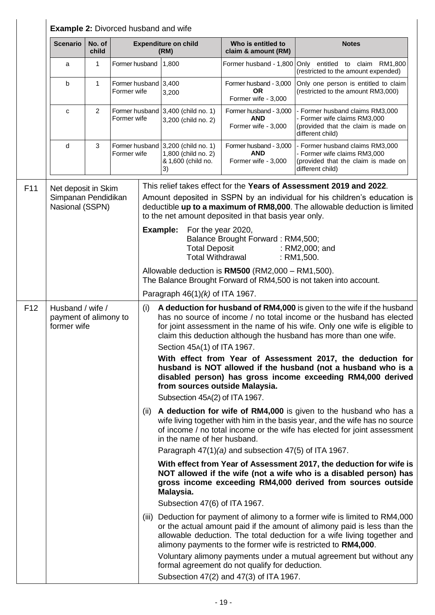|                 |                                                               | <b>Example 2: Divorced husband and wife</b> |                                     |                                                                                                                                                                                                                                                                                                                              |                                                                                                                                                                                                                                                                                                   |                                                                                                                        |                                                                                                                                                                                                                                                                                                       |  |
|-----------------|---------------------------------------------------------------|---------------------------------------------|-------------------------------------|------------------------------------------------------------------------------------------------------------------------------------------------------------------------------------------------------------------------------------------------------------------------------------------------------------------------------|---------------------------------------------------------------------------------------------------------------------------------------------------------------------------------------------------------------------------------------------------------------------------------------------------|------------------------------------------------------------------------------------------------------------------------|-------------------------------------------------------------------------------------------------------------------------------------------------------------------------------------------------------------------------------------------------------------------------------------------------------|--|
|                 | <b>Scenario</b>                                               | No. of<br>child                             |                                     |                                                                                                                                                                                                                                                                                                                              | <b>Expenditure on child</b><br>(RM)                                                                                                                                                                                                                                                               | Who is entitled to<br>claim & amount (RM)                                                                              | <b>Notes</b>                                                                                                                                                                                                                                                                                          |  |
|                 | a                                                             | 1                                           | Former husband                      |                                                                                                                                                                                                                                                                                                                              | 1,800                                                                                                                                                                                                                                                                                             |                                                                                                                        | Former husband - 1,800 Only entitled to claim RM1,800<br>(restricted to the amount expended)                                                                                                                                                                                                          |  |
|                 | b                                                             | $\mathbf{1}$                                | Former husband 3,400<br>Former wife |                                                                                                                                                                                                                                                                                                                              | 3,200                                                                                                                                                                                                                                                                                             | Former husband - 3,000<br><b>OR</b><br>Former wife - 3,000                                                             | Only one person is entitled to claim<br>(restricted to the amount RM3,000)                                                                                                                                                                                                                            |  |
|                 | $\mathbf c$                                                   | 2                                           | Former wife                         |                                                                                                                                                                                                                                                                                                                              | Former husband 3,400 (child no. 1)<br>3,200 (child no. 2)                                                                                                                                                                                                                                         | Former husband - 3,000<br><b>AND</b><br>Former wife - 3,000                                                            | - Former husband claims RM3,000<br>- Former wife claims RM3,000<br>(provided that the claim is made on<br>different child)                                                                                                                                                                            |  |
|                 | d                                                             | 3                                           | Former wife                         |                                                                                                                                                                                                                                                                                                                              | Former husband 3,200 (child no. 1)<br>1,800 (child no. 2)<br>& 1,600 (child no.<br>3)                                                                                                                                                                                                             | Former husband - 3,000<br><b>AND</b><br>Former wife - 3,000                                                            | - Former husband claims RM3,000<br>- Former wife claims RM3,000<br>(provided that the claim is made on<br>different child)                                                                                                                                                                            |  |
| F11             | Net deposit in Skim<br>Simpanan Pendidikan<br>Nasional (SSPN) |                                             |                                     | to the net amount deposited in that basis year only.                                                                                                                                                                                                                                                                         |                                                                                                                                                                                                                                                                                                   |                                                                                                                        | This relief takes effect for the Years of Assessment 2019 and 2022.<br>Amount deposited in SSPN by an individual for his children's education is<br>deductible up to a maximum of RM8,000. The allowable deduction is limited                                                                         |  |
|                 |                                                               |                                             |                                     |                                                                                                                                                                                                                                                                                                                              | Example:<br>For the year 2020,<br><b>Total Deposit</b><br><b>Total Withdrawal</b>                                                                                                                                                                                                                 | Balance Brought Forward: RM4,500;                                                                                      | : RM2,000; and<br>: RM1,500.                                                                                                                                                                                                                                                                          |  |
|                 |                                                               |                                             |                                     |                                                                                                                                                                                                                                                                                                                              |                                                                                                                                                                                                                                                                                                   | Allowable deduction is RM500 (RM2,000 - RM1,500).<br>The Balance Brought Forward of RM4,500 is not taken into account. |                                                                                                                                                                                                                                                                                                       |  |
|                 |                                                               |                                             |                                     |                                                                                                                                                                                                                                                                                                                              | Paragraph $46(1)(k)$ of ITA 1967.                                                                                                                                                                                                                                                                 |                                                                                                                        |                                                                                                                                                                                                                                                                                                       |  |
| F <sub>12</sub> | Husband / wife /<br>payment of alimony to<br>former wife      |                                             |                                     | (i)                                                                                                                                                                                                                                                                                                                          | A deduction for husband of RM4,000 is given to the wife if the husband<br>has no source of income / no total income or the husband has elected<br>for joint assessment in the name of his wife. Only one wife is eligible to<br>claim this deduction although the husband has more than one wife. |                                                                                                                        |                                                                                                                                                                                                                                                                                                       |  |
|                 |                                                               |                                             |                                     |                                                                                                                                                                                                                                                                                                                              | Section 45A(1) of ITA 1967.                                                                                                                                                                                                                                                                       |                                                                                                                        |                                                                                                                                                                                                                                                                                                       |  |
|                 |                                                               |                                             |                                     |                                                                                                                                                                                                                                                                                                                              | from sources outside Malaysia.                                                                                                                                                                                                                                                                    |                                                                                                                        | With effect from Year of Assessment 2017, the deduction for<br>husband is NOT allowed if the husband (not a husband who is a<br>disabled person) has gross income exceeding RM4,000 derived                                                                                                           |  |
|                 |                                                               |                                             |                                     |                                                                                                                                                                                                                                                                                                                              | Subsection 45A(2) of ITA 1967.                                                                                                                                                                                                                                                                    |                                                                                                                        |                                                                                                                                                                                                                                                                                                       |  |
|                 |                                                               |                                             |                                     | (ii) A deduction for wife of RM4,000 is given to the husband who has a<br>wife living together with him in the basis year, and the wife has no source<br>of income / no total income or the wife has elected for joint assessment<br>in the name of her husband.<br>Paragraph $47(1)(a)$ and subsection $47(5)$ of ITA 1967. |                                                                                                                                                                                                                                                                                                   |                                                                                                                        |                                                                                                                                                                                                                                                                                                       |  |
|                 |                                                               |                                             |                                     | With effect from Year of Assessment 2017, the deduction for wife is<br>NOT allowed if the wife (not a wife who is a disabled person) has<br>gross income exceeding RM4,000 derived from sources outside<br>Malaysia.                                                                                                         |                                                                                                                                                                                                                                                                                                   |                                                                                                                        |                                                                                                                                                                                                                                                                                                       |  |
|                 |                                                               |                                             |                                     |                                                                                                                                                                                                                                                                                                                              | Subsection 47(6) of ITA 1967.                                                                                                                                                                                                                                                                     |                                                                                                                        |                                                                                                                                                                                                                                                                                                       |  |
|                 |                                                               |                                             |                                     |                                                                                                                                                                                                                                                                                                                              |                                                                                                                                                                                                                                                                                                   |                                                                                                                        | (iii) Deduction for payment of alimony to a former wife is limited to RM4,000<br>or the actual amount paid if the amount of alimony paid is less than the<br>allowable deduction. The total deduction for a wife living together and<br>alimony payments to the former wife is restricted to RM4,000. |  |
|                 |                                                               |                                             |                                     |                                                                                                                                                                                                                                                                                                                              |                                                                                                                                                                                                                                                                                                   | formal agreement do not qualify for deduction.<br>Subsection 47(2) and 47(3) of ITA 1967.                              | Voluntary alimony payments under a mutual agreement but without any                                                                                                                                                                                                                                   |  |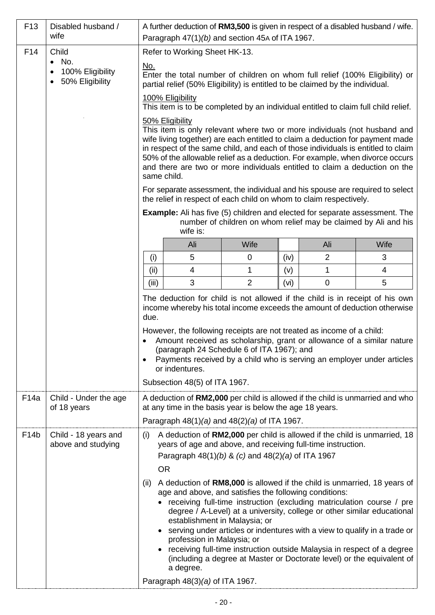| F <sub>13</sub>   | Disabled husband /<br>wife                           | A further deduction of RM3,500 is given in respect of a disabled husband / wife.<br>Paragraph 47(1)(b) and section 45A of ITA 1967.                                                                                                                                                                                                                                                                                                                                                                                                                                                                                                                                                                                            |                                                                               |                |      |                |                                                                                                                                                           |
|-------------------|------------------------------------------------------|--------------------------------------------------------------------------------------------------------------------------------------------------------------------------------------------------------------------------------------------------------------------------------------------------------------------------------------------------------------------------------------------------------------------------------------------------------------------------------------------------------------------------------------------------------------------------------------------------------------------------------------------------------------------------------------------------------------------------------|-------------------------------------------------------------------------------|----------------|------|----------------|-----------------------------------------------------------------------------------------------------------------------------------------------------------|
| F14               | Child                                                |                                                                                                                                                                                                                                                                                                                                                                                                                                                                                                                                                                                                                                                                                                                                | Refer to Working Sheet HK-13.                                                 |                |      |                |                                                                                                                                                           |
|                   | $\bullet$ No.<br>100% Eligibility<br>50% Eligibility | No.                                                                                                                                                                                                                                                                                                                                                                                                                                                                                                                                                                                                                                                                                                                            | partial relief (50% Eligibility) is entitled to be claimed by the individual. |                |      |                | Enter the total number of children on whom full relief (100% Eligibility) or                                                                              |
|                   |                                                      | 100% Eligibility<br>This item is to be completed by an individual entitled to claim full child relief.                                                                                                                                                                                                                                                                                                                                                                                                                                                                                                                                                                                                                         |                                                                               |                |      |                |                                                                                                                                                           |
|                   |                                                      | 50% Eligibility<br>This item is only relevant where two or more individuals (not husband and<br>wife living together) are each entitled to claim a deduction for payment made<br>in respect of the same child, and each of those individuals is entitled to claim<br>50% of the allowable relief as a deduction. For example, when divorce occurs<br>and there are two or more individuals entitled to claim a deduction on the<br>same child.                                                                                                                                                                                                                                                                                 |                                                                               |                |      |                |                                                                                                                                                           |
|                   |                                                      |                                                                                                                                                                                                                                                                                                                                                                                                                                                                                                                                                                                                                                                                                                                                | the relief in respect of each child on whom to claim respectively.            |                |      |                | For separate assessment, the individual and his spouse are required to select                                                                             |
|                   |                                                      | <b>Example:</b> Ali has five (5) children and elected for separate assessment. The<br>number of children on whom relief may be claimed by Ali and his<br>wife is:                                                                                                                                                                                                                                                                                                                                                                                                                                                                                                                                                              |                                                                               |                |      |                |                                                                                                                                                           |
|                   |                                                      |                                                                                                                                                                                                                                                                                                                                                                                                                                                                                                                                                                                                                                                                                                                                | Ali                                                                           | Wife           |      | Ali            | Wife                                                                                                                                                      |
|                   |                                                      | (i)                                                                                                                                                                                                                                                                                                                                                                                                                                                                                                                                                                                                                                                                                                                            | 5                                                                             | $\mathbf 0$    | (iv) | $\overline{2}$ | 3                                                                                                                                                         |
|                   |                                                      | (ii)                                                                                                                                                                                                                                                                                                                                                                                                                                                                                                                                                                                                                                                                                                                           | $\overline{4}$                                                                | 1              | (v)  | 1              | 4                                                                                                                                                         |
|                   |                                                      | (iii)                                                                                                                                                                                                                                                                                                                                                                                                                                                                                                                                                                                                                                                                                                                          | 3                                                                             | $\overline{2}$ | (vi) | $\mathbf 0$    | 5                                                                                                                                                         |
|                   |                                                      | due.                                                                                                                                                                                                                                                                                                                                                                                                                                                                                                                                                                                                                                                                                                                           | However, the following receipts are not treated as income of a child:         |                |      |                | The deduction for child is not allowed if the child is in receipt of his own<br>income whereby his total income exceeds the amount of deduction otherwise |
|                   |                                                      | Amount received as scholarship, grant or allowance of a similar nature<br>(paragraph 24 Schedule 6 of ITA 1967); and<br>Payments received by a child who is serving an employer under articles<br>$\bullet$<br>or indentures.                                                                                                                                                                                                                                                                                                                                                                                                                                                                                                  |                                                                               |                |      |                |                                                                                                                                                           |
|                   |                                                      |                                                                                                                                                                                                                                                                                                                                                                                                                                                                                                                                                                                                                                                                                                                                | Subsection 48(5) of ITA 1967.                                                 |                |      |                |                                                                                                                                                           |
| F <sub>14</sub> a | Child - Under the age<br>of 18 years                 |                                                                                                                                                                                                                                                                                                                                                                                                                                                                                                                                                                                                                                                                                                                                | at any time in the basis year is below the age 18 years.                      |                |      |                | A deduction of <b>RM2,000</b> per child is allowed if the child is unmarried and who                                                                      |
|                   |                                                      |                                                                                                                                                                                                                                                                                                                                                                                                                                                                                                                                                                                                                                                                                                                                | Paragraph $48(1)(a)$ and $48(2)(a)$ of ITA 1967.                              |                |      |                |                                                                                                                                                           |
| F <sub>14</sub> b | Child - 18 years and<br>above and studying           | (i)                                                                                                                                                                                                                                                                                                                                                                                                                                                                                                                                                                                                                                                                                                                            | years of age and above, and receiving full-time instruction.                  |                |      |                | A deduction of RM2,000 per child is allowed if the child is unmarried, 18                                                                                 |
|                   |                                                      | Paragraph $48(1)(b)$ & (c) and $48(2)(a)$ of ITA 1967<br><b>OR</b><br>A deduction of <b>RM8,000</b> is allowed if the child is unmarried, 18 years of<br>(ii)<br>age and above, and satisfies the following conditions:<br>receiving full-time instruction (excluding matriculation course / pre<br>degree / A-Level) at a university, college or other similar educational<br>establishment in Malaysia; or<br>serving under articles or indentures with a view to qualify in a trade or<br>profession in Malaysia; or<br>receiving full-time instruction outside Malaysia in respect of a degree<br>(including a degree at Master or Doctorate level) or the equivalent of<br>a degree.<br>Paragraph $48(3)(a)$ of ITA 1967. |                                                                               |                |      |                |                                                                                                                                                           |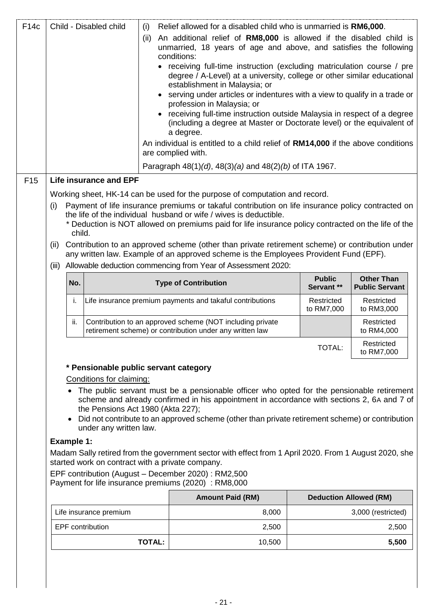| F <sub>14c</sub> |                   |           | Child - Disabled child                                      | (i)           |                                                                                                                       | Relief allowed for a disabled child who is unmarried is RM6,000.                                                                                                                                                                                                                                           |                             |                                            |
|------------------|-------------------|-----------|-------------------------------------------------------------|---------------|-----------------------------------------------------------------------------------------------------------------------|------------------------------------------------------------------------------------------------------------------------------------------------------------------------------------------------------------------------------------------------------------------------------------------------------------|-----------------------------|--------------------------------------------|
|                  |                   |           |                                                             | (ii)          | conditions:                                                                                                           | An additional relief of RM8,000 is allowed if the disabled child is<br>unmarried, 18 years of age and above, and satisfies the following                                                                                                                                                                   |                             |                                            |
|                  |                   |           |                                                             |               | establishment in Malaysia; or<br>profession in Malaysia; or                                                           | • receiving full-time instruction (excluding matriculation course / pre<br>degree / A-Level) at a university, college or other similar educational<br>serving under articles or indentures with a view to qualify in a trade or<br>receiving full-time instruction outside Malaysia in respect of a degree |                             |                                            |
|                  |                   |           |                                                             |               | a degree.                                                                                                             | (including a degree at Master or Doctorate level) or the equivalent of                                                                                                                                                                                                                                     |                             |                                            |
|                  |                   |           |                                                             |               | are complied with.                                                                                                    | An individual is entitled to a child relief of RM14,000 if the above conditions                                                                                                                                                                                                                            |                             |                                            |
|                  |                   |           |                                                             |               |                                                                                                                       | Paragraph $48(1)(d)$ , $48(3)(a)$ and $48(2)(b)$ of ITA 1967.                                                                                                                                                                                                                                              |                             |                                            |
| F <sub>15</sub>  |                   |           | <b>Life insurance and EPF</b>                               |               |                                                                                                                       |                                                                                                                                                                                                                                                                                                            |                             |                                            |
|                  |                   |           |                                                             |               |                                                                                                                       | Working sheet, HK-14 can be used for the purpose of computation and record.                                                                                                                                                                                                                                |                             |                                            |
|                  | (i)               |           |                                                             |               |                                                                                                                       | Payment of life insurance premiums or takaful contribution on life insurance policy contracted on                                                                                                                                                                                                          |                             |                                            |
|                  |                   |           |                                                             |               |                                                                                                                       | the life of the individual husband or wife / wives is deductible.<br>* Deduction is NOT allowed on premiums paid for life insurance policy contracted on the life of the                                                                                                                                   |                             |                                            |
|                  |                   | child.    |                                                             |               |                                                                                                                       |                                                                                                                                                                                                                                                                                                            |                             |                                            |
|                  | (ii)              |           |                                                             |               |                                                                                                                       | Contribution to an approved scheme (other than private retirement scheme) or contribution under<br>any written law. Example of an approved scheme is the Employees Provident Fund (EPF).                                                                                                                   |                             |                                            |
|                  | (iii)             |           |                                                             |               |                                                                                                                       | Allowable deduction commencing from Year of Assessment 2020:                                                                                                                                                                                                                                               |                             |                                            |
|                  |                   | No.       |                                                             |               | <b>Type of Contribution</b>                                                                                           |                                                                                                                                                                                                                                                                                                            | <b>Public</b><br>Servant ** | <b>Other Than</b><br><b>Public Servant</b> |
|                  |                   |           |                                                             |               | Life insurance premium payments and takaful contributions                                                             |                                                                                                                                                                                                                                                                                                            | Restricted                  | Restricted                                 |
|                  |                   | i.        |                                                             |               |                                                                                                                       |                                                                                                                                                                                                                                                                                                            | to RM7,000                  | to RM3,000                                 |
|                  |                   | ii.       |                                                             |               | Contribution to an approved scheme (NOT including private<br>retirement scheme) or contribution under any written law |                                                                                                                                                                                                                                                                                                            |                             | Restricted<br>to RM4,000                   |
|                  |                   |           |                                                             |               |                                                                                                                       |                                                                                                                                                                                                                                                                                                            | TOTAL:                      | Restricted<br>to RM7,000                   |
|                  |                   |           | * Pensionable public servant category                       |               |                                                                                                                       |                                                                                                                                                                                                                                                                                                            |                             |                                            |
|                  |                   |           | Conditions for claiming:                                    |               |                                                                                                                       | The public servant must be a pensionable officer who opted for the pensionable retirement<br>scheme and already confirmed in his appointment in accordance with sections 2, 6A and 7 of                                                                                                                    |                             |                                            |
|                  |                   | $\bullet$ | the Pensions Act 1980 (Akta 227);<br>under any written law. |               |                                                                                                                       | Did not contribute to an approved scheme (other than private retirement scheme) or contribution                                                                                                                                                                                                            |                             |                                            |
|                  | <b>Example 1:</b> |           |                                                             |               |                                                                                                                       |                                                                                                                                                                                                                                                                                                            |                             |                                            |
|                  |                   |           |                                                             |               | started work on contract with a private company.                                                                      | Madam Sally retired from the government sector with effect from 1 April 2020. From 1 August 2020, she                                                                                                                                                                                                      |                             |                                            |
|                  |                   |           |                                                             |               | EPF contribution (August - December 2020) : RM2,500<br>Payment for life insurance premiums (2020) : RM8,000           |                                                                                                                                                                                                                                                                                                            |                             |                                            |
|                  |                   |           |                                                             |               |                                                                                                                       | <b>Amount Paid (RM)</b>                                                                                                                                                                                                                                                                                    |                             | <b>Deduction Allowed (RM)</b>              |
|                  |                   |           | Life insurance premium                                      |               |                                                                                                                       | 8,000                                                                                                                                                                                                                                                                                                      |                             | 3,000 (restricted)                         |
|                  |                   |           | EPF contribution                                            |               |                                                                                                                       | 2,500                                                                                                                                                                                                                                                                                                      |                             | 2,500                                      |
|                  |                   |           |                                                             | <b>TOTAL:</b> |                                                                                                                       | 10,500                                                                                                                                                                                                                                                                                                     |                             | 5,500                                      |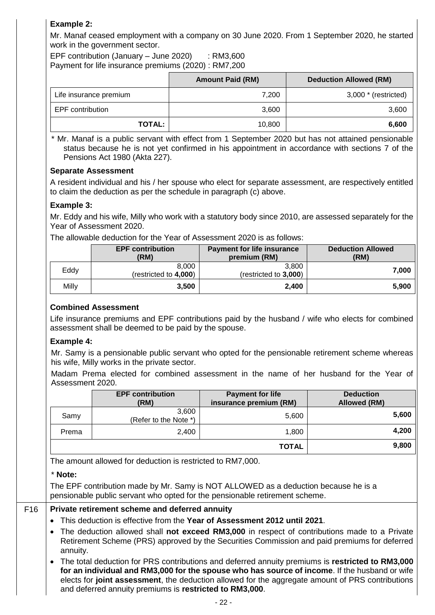# **Example 2:**

Mr. Manaf ceased employment with a company on 30 June 2020. From 1 September 2020, he started work in the government sector.

EPF contribution (January – June 2020)  $\therefore$  RM3,600 Payment for life insurance premiums (2020) : RM7,200

|                        | <b>Amount Paid (RM)</b> | <b>Deduction Allowed (RM)</b> |
|------------------------|-------------------------|-------------------------------|
| Life insurance premium | 7,200                   | $3,000$ $*$ (restricted)      |
| EPF contribution       | 3,600                   | 3,600                         |
| <b>TOTAL:</b>          | 10,800                  | 6,600                         |

 \* Mr. Manaf is a public servant with effect from 1 September 2020 but has not attained pensionable status because he is not yet confirmed in his appointment in accordance with sections 7 of the Pensions Act 1980 (Akta 227).

#### **Separate Assessment**

A resident individual and his / her spouse who elect for separate assessment, are respectively entitled to claim the deduction as per the schedule in paragraph (c) above.

# **Example 3:**

Mr. Eddy and his wife, Milly who work with a statutory body since 2010, are assessed separately for the Year of Assessment 2020.

The allowable deduction for the Year of Assessment 2020 is as follows:

|       | <b>EPF contribution</b><br>(RM) | <b>Payment for life insurance</b><br>premium (RM) | <b>Deduction Allowed</b><br>(RM) |
|-------|---------------------------------|---------------------------------------------------|----------------------------------|
| Eddy  | 8.000<br>(restricted to 4,000)  | 3.800<br>(restricted to 3,000)                    | 7.000                            |
| Milly | 3.500                           | 2,400                                             | 5.900                            |

# **Combined Assessment**

Life insurance premiums and EPF contributions paid by the husband / wife who elects for combined assessment shall be deemed to be paid by the spouse.

# **Example 4:**

Mr. Samy is a pensionable public servant who opted for the pensionable retirement scheme whereas his wife, Milly works in the private sector.

Madam Prema elected for combined assessment in the name of her husband for the Year of Assessment 2020.

|       | <b>EPF contribution</b><br>(RM) | <b>Payment for life</b><br>insurance premium (RM) | <b>Deduction</b><br><b>Allowed (RM)</b> |
|-------|---------------------------------|---------------------------------------------------|-----------------------------------------|
| Samy  | 3,600<br>(Refer to the Note *)  | 5,600                                             | 5,600                                   |
| Prema | 2,400                           | 1,800                                             | 4,200                                   |
|       |                                 | <b>TOTAL</b>                                      | 9,800                                   |

The amount allowed for deduction is restricted to RM7,000.

#### \* **Note:**

The EPF contribution made by Mr. Samy is NOT ALLOWED as a deduction because he is a pensionable public servant who opted for the pensionable retirement scheme.

# F16 **Private retirement scheme and deferred annuity**

- This deduction is effective from the **Year of Assessment 2012 until 2021**.
- The deduction allowed shall **not exceed RM3,000** in respect of contributions made to a Private Retirement Scheme (PRS) approved by the Securities Commission and paid premiums for deferred annuity.
- The total deduction for PRS contributions and deferred annuity premiums is **restricted to RM3,000 for an individual and RM3,000 for the spouse who has source of income**. If the husband or wife elects for **joint assessment**, the deduction allowed for the aggregate amount of PRS contributions and deferred annuity premiums is **restricted to RM3,000**.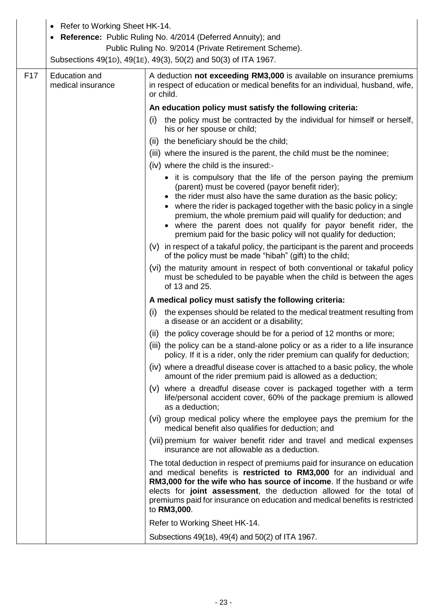|                 | • Refer to Working Sheet HK-14.<br><b>Reference:</b> Public Ruling No. 4/2014 (Deferred Annuity); and<br>Public Ruling No. 9/2014 (Private Retirement Scheme).<br>Subsections 49(1D), 49(1E), 49(3), 50(2) and 50(3) of ITA 1967. |                                                                                                                                                                                                                                                                                                                                                                                                                                                                                 |  |  |  |  |  |
|-----------------|-----------------------------------------------------------------------------------------------------------------------------------------------------------------------------------------------------------------------------------|---------------------------------------------------------------------------------------------------------------------------------------------------------------------------------------------------------------------------------------------------------------------------------------------------------------------------------------------------------------------------------------------------------------------------------------------------------------------------------|--|--|--|--|--|
| F <sub>17</sub> | <b>Education and</b><br>medical insurance                                                                                                                                                                                         | A deduction not exceeding RM3,000 is available on insurance premiums<br>in respect of education or medical benefits for an individual, husband, wife,<br>or child.                                                                                                                                                                                                                                                                                                              |  |  |  |  |  |
|                 |                                                                                                                                                                                                                                   |                                                                                                                                                                                                                                                                                                                                                                                                                                                                                 |  |  |  |  |  |
|                 |                                                                                                                                                                                                                                   | An education policy must satisfy the following criteria:                                                                                                                                                                                                                                                                                                                                                                                                                        |  |  |  |  |  |
|                 |                                                                                                                                                                                                                                   | (i) the policy must be contracted by the individual for himself or herself,<br>his or her spouse or child;                                                                                                                                                                                                                                                                                                                                                                      |  |  |  |  |  |
|                 |                                                                                                                                                                                                                                   | (ii) the beneficiary should be the child;                                                                                                                                                                                                                                                                                                                                                                                                                                       |  |  |  |  |  |
|                 |                                                                                                                                                                                                                                   | (iii) where the insured is the parent, the child must be the nominee;                                                                                                                                                                                                                                                                                                                                                                                                           |  |  |  |  |  |
|                 |                                                                                                                                                                                                                                   | (iv) where the child is the insured:-                                                                                                                                                                                                                                                                                                                                                                                                                                           |  |  |  |  |  |
|                 |                                                                                                                                                                                                                                   | • it is compulsory that the life of the person paying the premium<br>(parent) must be covered (payor benefit rider);<br>• the rider must also have the same duration as the basic policy;<br>where the rider is packaged together with the basic policy in a single<br>premium, the whole premium paid will qualify for deduction; and<br>• where the parent does not qualify for payor benefit rider, the<br>premium paid for the basic policy will not qualify for deduction; |  |  |  |  |  |
|                 |                                                                                                                                                                                                                                   | (v) in respect of a takaful policy, the participant is the parent and proceeds                                                                                                                                                                                                                                                                                                                                                                                                  |  |  |  |  |  |
|                 |                                                                                                                                                                                                                                   | of the policy must be made "hibah" (gift) to the child;                                                                                                                                                                                                                                                                                                                                                                                                                         |  |  |  |  |  |
|                 |                                                                                                                                                                                                                                   | (vi) the maturity amount in respect of both conventional or takaful policy<br>must be scheduled to be payable when the child is between the ages<br>of 13 and 25.                                                                                                                                                                                                                                                                                                               |  |  |  |  |  |
|                 |                                                                                                                                                                                                                                   | A medical policy must satisfy the following criteria:                                                                                                                                                                                                                                                                                                                                                                                                                           |  |  |  |  |  |
|                 |                                                                                                                                                                                                                                   | the expenses should be related to the medical treatment resulting from<br>(i)<br>a disease or an accident or a disability;                                                                                                                                                                                                                                                                                                                                                      |  |  |  |  |  |
|                 |                                                                                                                                                                                                                                   | (ii) the policy coverage should be for a period of 12 months or more;                                                                                                                                                                                                                                                                                                                                                                                                           |  |  |  |  |  |
|                 |                                                                                                                                                                                                                                   | (iii) the policy can be a stand-alone policy or as a rider to a life insurance<br>policy. If it is a rider, only the rider premium can qualify for deduction;                                                                                                                                                                                                                                                                                                                   |  |  |  |  |  |
|                 |                                                                                                                                                                                                                                   | (iv) where a dreadful disease cover is attached to a basic policy, the whole<br>amount of the rider premium paid is allowed as a deduction;                                                                                                                                                                                                                                                                                                                                     |  |  |  |  |  |
|                 |                                                                                                                                                                                                                                   | (v) where a dreadful disease cover is packaged together with a term<br>life/personal accident cover, 60% of the package premium is allowed<br>as a deduction;                                                                                                                                                                                                                                                                                                                   |  |  |  |  |  |
|                 |                                                                                                                                                                                                                                   | (vi) group medical policy where the employee pays the premium for the<br>medical benefit also qualifies for deduction; and                                                                                                                                                                                                                                                                                                                                                      |  |  |  |  |  |
|                 |                                                                                                                                                                                                                                   | (vii) premium for waiver benefit rider and travel and medical expenses<br>insurance are not allowable as a deduction.                                                                                                                                                                                                                                                                                                                                                           |  |  |  |  |  |
|                 |                                                                                                                                                                                                                                   | The total deduction in respect of premiums paid for insurance on education<br>and medical benefits is restricted to RM3,000 for an individual and<br>RM3,000 for the wife who has source of income. If the husband or wife<br>elects for joint assessment, the deduction allowed for the total of<br>premiums paid for insurance on education and medical benefits is restricted<br>to RM3,000.                                                                                 |  |  |  |  |  |
|                 |                                                                                                                                                                                                                                   | Refer to Working Sheet HK-14.                                                                                                                                                                                                                                                                                                                                                                                                                                                   |  |  |  |  |  |
|                 |                                                                                                                                                                                                                                   | Subsections 49(1B), 49(4) and 50(2) of ITA 1967.                                                                                                                                                                                                                                                                                                                                                                                                                                |  |  |  |  |  |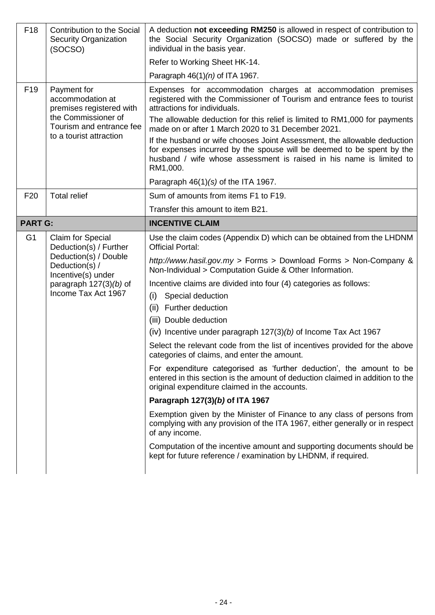| F <sub>18</sub> | <b>Contribution to the Social</b><br><b>Security Organization</b><br>(SOCSO)                                                                                    | A deduction not exceeding RM250 is allowed in respect of contribution to<br>the Social Security Organization (SOCSO) made or suffered by the<br>individual in the basis year.<br>Refer to Working Sheet HK-14.                                                                                                                                                                                                                                                                                                                                                                                                                                                                                                                                                                                                                                                                                                                                                                                                                                                                                                                                                |  |  |  |  |
|-----------------|-----------------------------------------------------------------------------------------------------------------------------------------------------------------|---------------------------------------------------------------------------------------------------------------------------------------------------------------------------------------------------------------------------------------------------------------------------------------------------------------------------------------------------------------------------------------------------------------------------------------------------------------------------------------------------------------------------------------------------------------------------------------------------------------------------------------------------------------------------------------------------------------------------------------------------------------------------------------------------------------------------------------------------------------------------------------------------------------------------------------------------------------------------------------------------------------------------------------------------------------------------------------------------------------------------------------------------------------|--|--|--|--|
|                 |                                                                                                                                                                 | Paragraph $46(1)(n)$ of ITA 1967.                                                                                                                                                                                                                                                                                                                                                                                                                                                                                                                                                                                                                                                                                                                                                                                                                                                                                                                                                                                                                                                                                                                             |  |  |  |  |
| F <sub>19</sub> | Payment for<br>accommodation at<br>premises registered with<br>the Commissioner of<br>Tourism and entrance fee<br>to a tourist attraction                       | Expenses for accommodation charges at accommodation premises<br>registered with the Commissioner of Tourism and entrance fees to tourist<br>attractions for individuals.<br>The allowable deduction for this relief is limited to RM1,000 for payments<br>made on or after 1 March 2020 to 31 December 2021.<br>If the husband or wife chooses Joint Assessment, the allowable deduction<br>for expenses incurred by the spouse will be deemed to be spent by the<br>husband / wife whose assessment is raised in his name is limited to<br>RM1,000.<br>Paragraph $46(1)(s)$ of the ITA 1967.                                                                                                                                                                                                                                                                                                                                                                                                                                                                                                                                                                 |  |  |  |  |
| F <sub>20</sub> | <b>Total relief</b>                                                                                                                                             | Sum of amounts from items F1 to F19.                                                                                                                                                                                                                                                                                                                                                                                                                                                                                                                                                                                                                                                                                                                                                                                                                                                                                                                                                                                                                                                                                                                          |  |  |  |  |
|                 |                                                                                                                                                                 | Transfer this amount to item B21.                                                                                                                                                                                                                                                                                                                                                                                                                                                                                                                                                                                                                                                                                                                                                                                                                                                                                                                                                                                                                                                                                                                             |  |  |  |  |
| <b>PART G:</b>  |                                                                                                                                                                 | <b>INCENTIVE CLAIM</b>                                                                                                                                                                                                                                                                                                                                                                                                                                                                                                                                                                                                                                                                                                                                                                                                                                                                                                                                                                                                                                                                                                                                        |  |  |  |  |
| G <sub>1</sub>  | Claim for Special<br>Deduction(s) / Further<br>Deduction(s) / Double<br>Deduction(s) /<br>Incentive(s) under<br>paragraph $127(3)(b)$ of<br>Income Tax Act 1967 | Use the claim codes (Appendix D) which can be obtained from the LHDNM<br><b>Official Portal:</b><br>http://www.hasil.gov.my > Forms > Download Forms > Non-Company &<br>Non-Individual > Computation Guide & Other Information.<br>Incentive claims are divided into four (4) categories as follows:<br>Special deduction<br>(i)<br>(ii) Further deduction<br>(iii) Double deduction<br>(iv) Incentive under paragraph $127(3)(b)$ of Income Tax Act 1967<br>Select the relevant code from the list of incentives provided for the above<br>categories of claims, and enter the amount.<br>For expenditure categorised as 'further deduction', the amount to be<br>entered in this section is the amount of deduction claimed in addition to the<br>original expenditure claimed in the accounts.<br>Paragraph 127(3)(b) of ITA 1967<br>Exemption given by the Minister of Finance to any class of persons from<br>complying with any provision of the ITA 1967, either generally or in respect<br>of any income.<br>Computation of the incentive amount and supporting documents should be<br>kept for future reference / examination by LHDNM, if required. |  |  |  |  |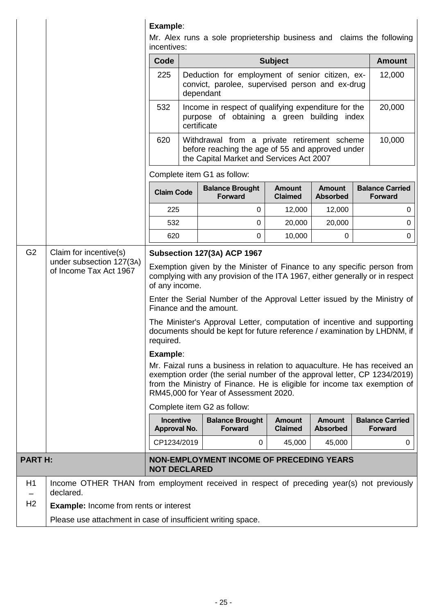|                |                                                                                                        | Example:<br>Mr. Alex runs a sole proprietership business and claims the following<br>incentives:                                                                                                                                                                                                               |                                                                                                                   |                                                                                                                                                     |                                 |                                  |        |                                          |  |
|----------------|--------------------------------------------------------------------------------------------------------|----------------------------------------------------------------------------------------------------------------------------------------------------------------------------------------------------------------------------------------------------------------------------------------------------------------|-------------------------------------------------------------------------------------------------------------------|-----------------------------------------------------------------------------------------------------------------------------------------------------|---------------------------------|----------------------------------|--------|------------------------------------------|--|
|                |                                                                                                        | Code<br><b>Subject</b>                                                                                                                                                                                                                                                                                         |                                                                                                                   |                                                                                                                                                     |                                 |                                  |        | <b>Amount</b>                            |  |
|                |                                                                                                        | 225                                                                                                                                                                                                                                                                                                            | Deduction for employment of senior citizen, ex-<br>convict, parolee, supervised person and ex-drug<br>dependant   |                                                                                                                                                     |                                 |                                  | 12,000 |                                          |  |
|                |                                                                                                        | 532                                                                                                                                                                                                                                                                                                            | Income in respect of qualifying expenditure for the<br>purpose of obtaining a green building index<br>certificate |                                                                                                                                                     |                                 |                                  |        | 20,000                                   |  |
|                |                                                                                                        | 620                                                                                                                                                                                                                                                                                                            |                                                                                                                   | Withdrawal from a private retirement scheme<br>before reaching the age of 55 and approved under<br>the Capital Market and Services Act 2007         |                                 |                                  |        | 10,000                                   |  |
|                |                                                                                                        |                                                                                                                                                                                                                                                                                                                |                                                                                                                   | Complete item G1 as follow:                                                                                                                         |                                 |                                  |        |                                          |  |
|                |                                                                                                        | <b>Claim Code</b>                                                                                                                                                                                                                                                                                              |                                                                                                                   | <b>Balance Brought</b><br><b>Forward</b>                                                                                                            | <b>Amount</b><br><b>Claimed</b> | <b>Amount</b><br><b>Absorbed</b> |        | <b>Balance Carried</b><br><b>Forward</b> |  |
|                |                                                                                                        | 225                                                                                                                                                                                                                                                                                                            |                                                                                                                   | 0                                                                                                                                                   | 12,000                          | 12,000                           |        | 0                                        |  |
|                |                                                                                                        | 532                                                                                                                                                                                                                                                                                                            |                                                                                                                   | 0                                                                                                                                                   | 20,000                          | 20,000                           | 0      |                                          |  |
|                |                                                                                                        | 620                                                                                                                                                                                                                                                                                                            |                                                                                                                   | 0                                                                                                                                                   | 10,000                          | 0                                | 0      |                                          |  |
| G <sub>2</sub> | Claim for incentive(s)<br>under subsection 127(3A)<br>of Income Tax Act 1967                           | Subsection 127(3A) ACP 1967<br>Exemption given by the Minister of Finance to any specific person from<br>complying with any provision of the ITA 1967, either generally or in respect<br>of any income.<br>Enter the Serial Number of the Approval Letter issued by the Ministry of<br>Finance and the amount. |                                                                                                                   |                                                                                                                                                     |                                 |                                  |        |                                          |  |
|                |                                                                                                        | required.                                                                                                                                                                                                                                                                                                      |                                                                                                                   | The Minister's Approval Letter, computation of incentive and supporting<br>documents should be kept for future reference / examination by LHDNM, if |                                 |                                  |        |                                          |  |
|                |                                                                                                        | Example:                                                                                                                                                                                                                                                                                                       |                                                                                                                   |                                                                                                                                                     |                                 |                                  |        |                                          |  |
|                |                                                                                                        | Mr. Faizal runs a business in relation to aquaculture. He has received an<br>exemption order (the serial number of the approval letter, CP 1234/2019)<br>from the Ministry of Finance. He is eligible for income tax exemption of<br>RM45,000 for Year of Assessment 2020.                                     |                                                                                                                   |                                                                                                                                                     |                                 |                                  |        |                                          |  |
|                |                                                                                                        |                                                                                                                                                                                                                                                                                                                |                                                                                                                   | Complete item G2 as follow:                                                                                                                         |                                 |                                  |        |                                          |  |
|                |                                                                                                        | <b>Incentive</b><br><b>Balance Brought</b><br><b>Amount</b><br><b>Amount</b><br>Approval No.<br><b>Forward</b><br><b>Claimed</b><br><b>Absorbed</b>                                                                                                                                                            |                                                                                                                   |                                                                                                                                                     |                                 |                                  |        | <b>Balance Carried</b><br><b>Forward</b> |  |
|                |                                                                                                        | CP1234/2019                                                                                                                                                                                                                                                                                                    |                                                                                                                   | 0                                                                                                                                                   | 45,000                          | 45,000                           |        | 0                                        |  |
| <b>PARTH:</b>  |                                                                                                        | <b>NON-EMPLOYMENT INCOME OF PRECEDING YEARS</b><br><b>NOT DECLARED</b>                                                                                                                                                                                                                                         |                                                                                                                   |                                                                                                                                                     |                                 |                                  |        |                                          |  |
| H1             | Income OTHER THAN from employment received in respect of preceding year(s) not previously<br>declared. |                                                                                                                                                                                                                                                                                                                |                                                                                                                   |                                                                                                                                                     |                                 |                                  |        |                                          |  |
| H <sub>2</sub> | <b>Example:</b> Income from rents or interest                                                          |                                                                                                                                                                                                                                                                                                                |                                                                                                                   |                                                                                                                                                     |                                 |                                  |        |                                          |  |
|                | Please use attachment in case of insufficient writing space.                                           |                                                                                                                                                                                                                                                                                                                |                                                                                                                   |                                                                                                                                                     |                                 |                                  |        |                                          |  |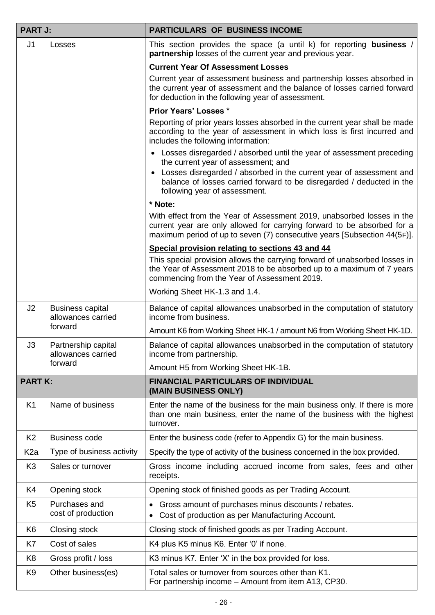| <b>PART J:</b>   |                                               | <b>PARTICULARS OF BUSINESS INCOME</b>                                                                                                                                                                                         |  |  |  |
|------------------|-----------------------------------------------|-------------------------------------------------------------------------------------------------------------------------------------------------------------------------------------------------------------------------------|--|--|--|
| J <sub>1</sub>   | Losses                                        | This section provides the space (a until k) for reporting business /<br>partnership losses of the current year and previous year.                                                                                             |  |  |  |
|                  |                                               | <b>Current Year Of Assessment Losses</b>                                                                                                                                                                                      |  |  |  |
|                  |                                               | Current year of assessment business and partnership losses absorbed in<br>the current year of assessment and the balance of losses carried forward<br>for deduction in the following year of assessment.                      |  |  |  |
|                  |                                               | <b>Prior Years' Losses *</b>                                                                                                                                                                                                  |  |  |  |
|                  |                                               | Reporting of prior years losses absorbed in the current year shall be made<br>according to the year of assessment in which loss is first incurred and<br>includes the following information:                                  |  |  |  |
|                  |                                               | • Losses disregarded / absorbed until the year of assessment preceding<br>the current year of assessment; and                                                                                                                 |  |  |  |
|                  |                                               | • Losses disregarded / absorbed in the current year of assessment and<br>balance of losses carried forward to be disregarded / deducted in the<br>following year of assessment.                                               |  |  |  |
|                  |                                               | * Note:                                                                                                                                                                                                                       |  |  |  |
|                  |                                               | With effect from the Year of Assessment 2019, unabsorbed losses in the<br>current year are only allowed for carrying forward to be absorbed for a<br>maximum period of up to seven (7) consecutive years [Subsection 44(5F)]. |  |  |  |
|                  |                                               | Special provision relating to sections 43 and 44                                                                                                                                                                              |  |  |  |
|                  |                                               | This special provision allows the carrying forward of unabsorbed losses in<br>the Year of Assessment 2018 to be absorbed up to a maximum of 7 years<br>commencing from the Year of Assessment 2019.                           |  |  |  |
|                  |                                               | Working Sheet HK-1.3 and 1.4.                                                                                                                                                                                                 |  |  |  |
| J <sub>2</sub>   | <b>Business capital</b><br>allowances carried | Balance of capital allowances unabsorbed in the computation of statutory<br>income from business.                                                                                                                             |  |  |  |
|                  | forward                                       | Amount K6 from Working Sheet HK-1 / amount N6 from Working Sheet HK-1D.                                                                                                                                                       |  |  |  |
| J3               | Partnership capital<br>allowances carried     | Balance of capital allowances unabsorbed in the computation of statutory<br>income from partnership.                                                                                                                          |  |  |  |
|                  | forward                                       | Amount H5 from Working Sheet HK-1B.                                                                                                                                                                                           |  |  |  |
| <b>PART K:</b>   |                                               | <b>FINANCIAL PARTICULARS OF INDIVIDUAL</b><br>(MAIN BUSINESS ONLY)                                                                                                                                                            |  |  |  |
| K <sub>1</sub>   | Name of business                              | Enter the name of the business for the main business only. If there is more<br>than one main business, enter the name of the business with the highest<br>turnover.                                                           |  |  |  |
| K <sub>2</sub>   | <b>Business code</b>                          | Enter the business code (refer to Appendix G) for the main business.                                                                                                                                                          |  |  |  |
| K <sub>2</sub> a | Type of business activity                     | Specify the type of activity of the business concerned in the box provided.                                                                                                                                                   |  |  |  |
| K <sub>3</sub>   | Sales or turnover                             | Gross income including accrued income from sales, fees and other<br>receipts.                                                                                                                                                 |  |  |  |
| K4               | Opening stock                                 | Opening stock of finished goods as per Trading Account.                                                                                                                                                                       |  |  |  |
| K <sub>5</sub>   | Purchases and<br>cost of production           | Gross amount of purchases minus discounts / rebates.<br>Cost of production as per Manufacturing Account.                                                                                                                      |  |  |  |
| K <sub>6</sub>   | Closing stock                                 | Closing stock of finished goods as per Trading Account.                                                                                                                                                                       |  |  |  |
| K7               | Cost of sales                                 | K4 plus K5 minus K6. Enter '0' if none.                                                                                                                                                                                       |  |  |  |
| K <sub>8</sub>   | Gross profit / loss                           | K3 minus K7. Enter 'X' in the box provided for loss.                                                                                                                                                                          |  |  |  |
| K <sub>9</sub>   | Other business(es)                            | Total sales or turnover from sources other than K1.<br>For partnership income - Amount from item A13, CP30.                                                                                                                   |  |  |  |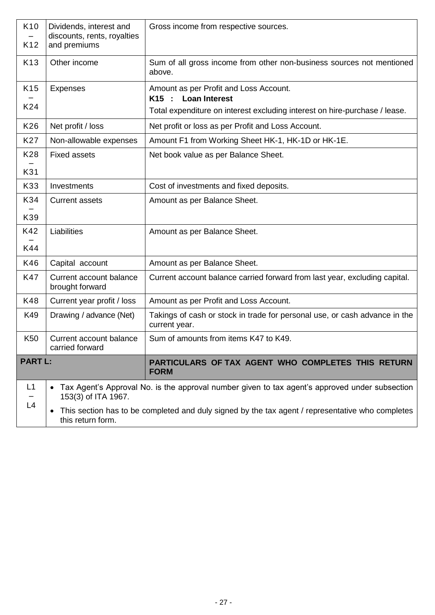| K <sub>10</sub><br>K <sub>12</sub>                                                                                                 | Dividends, interest and<br>discounts, rents, royalties<br>and premiums | Gross income from respective sources.                                                          |  |  |  |
|------------------------------------------------------------------------------------------------------------------------------------|------------------------------------------------------------------------|------------------------------------------------------------------------------------------------|--|--|--|
|                                                                                                                                    |                                                                        |                                                                                                |  |  |  |
| K <sub>13</sub>                                                                                                                    | Other income                                                           | Sum of all gross income from other non-business sources not mentioned<br>above.                |  |  |  |
| K <sub>15</sub>                                                                                                                    | <b>Expenses</b>                                                        | Amount as per Profit and Loss Account.<br><b>Loan Interest</b><br>K15 :                        |  |  |  |
| K24                                                                                                                                |                                                                        | Total expenditure on interest excluding interest on hire-purchase / lease.                     |  |  |  |
| K26                                                                                                                                | Net profit / loss                                                      | Net profit or loss as per Profit and Loss Account.                                             |  |  |  |
| K27                                                                                                                                | Non-allowable expenses                                                 | Amount F1 from Working Sheet HK-1, HK-1D or HK-1E.                                             |  |  |  |
| K28                                                                                                                                | <b>Fixed assets</b>                                                    | Net book value as per Balance Sheet.                                                           |  |  |  |
| K31                                                                                                                                |                                                                        |                                                                                                |  |  |  |
| K33                                                                                                                                | Investments                                                            | Cost of investments and fixed deposits.                                                        |  |  |  |
| K34                                                                                                                                | <b>Current assets</b>                                                  | Amount as per Balance Sheet.                                                                   |  |  |  |
| K39                                                                                                                                |                                                                        |                                                                                                |  |  |  |
| K42                                                                                                                                | Liabilities                                                            | Amount as per Balance Sheet.                                                                   |  |  |  |
| K44                                                                                                                                |                                                                        |                                                                                                |  |  |  |
| K46                                                                                                                                | Capital account                                                        | Amount as per Balance Sheet.                                                                   |  |  |  |
| <b>K47</b>                                                                                                                         | Current account balance<br>brought forward                             | Current account balance carried forward from last year, excluding capital.                     |  |  |  |
| K48                                                                                                                                | Current year profit / loss                                             | Amount as per Profit and Loss Account.                                                         |  |  |  |
| K49                                                                                                                                | Drawing / advance (Net)                                                | Takings of cash or stock in trade for personal use, or cash advance in the<br>current year.    |  |  |  |
| K50                                                                                                                                | Current account balance<br>carried forward                             | Sum of amounts from items K47 to K49.                                                          |  |  |  |
| <b>PART L:</b>                                                                                                                     |                                                                        | PARTICULARS OF TAX AGENT WHO COMPLETES THIS RETURN<br><b>FORM</b>                              |  |  |  |
| L1                                                                                                                                 | $\bullet$<br>153(3) of ITA 1967.                                       | Tax Agent's Approval No. is the approval number given to tax agent's approved under subsection |  |  |  |
| L4                                                                                                                                 |                                                                        |                                                                                                |  |  |  |
| This section has to be completed and duly signed by the tax agent / representative who completes<br>$\bullet$<br>this return form. |                                                                        |                                                                                                |  |  |  |